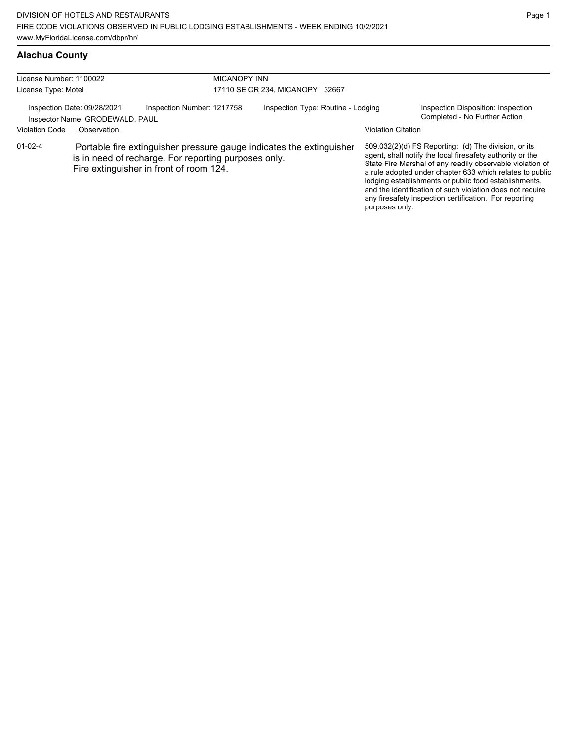## **Alachua County**

| License Number: 1100022<br>License Type: Motel |                                                                | <b>MICANOPY INN</b>                                                                                                                                                     | 17110 SE CR 234, MICANOPY 32667    |                           |                                                                                                                                                                                                                                                                                                                                                                                                                            |
|------------------------------------------------|----------------------------------------------------------------|-------------------------------------------------------------------------------------------------------------------------------------------------------------------------|------------------------------------|---------------------------|----------------------------------------------------------------------------------------------------------------------------------------------------------------------------------------------------------------------------------------------------------------------------------------------------------------------------------------------------------------------------------------------------------------------------|
|                                                | Inspection Date: 09/28/2021<br>Inspector Name: GRODEWALD, PAUL | Inspection Number: 1217758                                                                                                                                              | Inspection Type: Routine - Lodging |                           | Inspection Disposition: Inspection<br>Completed - No Further Action                                                                                                                                                                                                                                                                                                                                                        |
| <b>Violation Code</b>                          | Observation                                                    |                                                                                                                                                                         |                                    | <b>Violation Citation</b> |                                                                                                                                                                                                                                                                                                                                                                                                                            |
| $01 - 02 - 4$                                  |                                                                | Portable fire extinguisher pressure gauge indicates the extinguisher<br>is in need of recharge. For reporting purposes only.<br>Fire extinguisher in front of room 124. |                                    | purposes only.            | 509.032(2)(d) FS Reporting: (d) The division, or its<br>agent, shall notify the local firesafety authority or the<br>State Fire Marshal of any readily observable violation of<br>a rule adopted under chapter 633 which relates to public<br>lodging establishments or public food establishments,<br>and the identification of such violation does not require<br>any firesafety inspection certification. For reporting |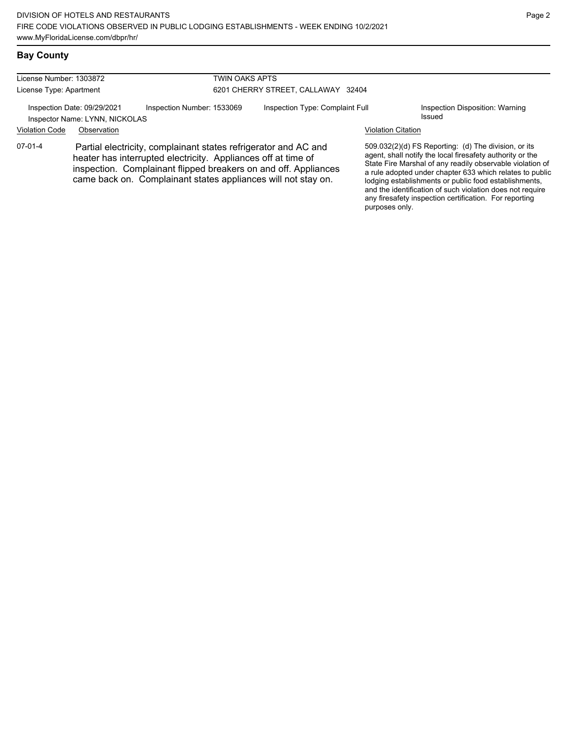| License Number: 1303872 |                                                               |                                                               | <b>TWIN OAKS APTS</b>              |                                                                                                                                                                                                     |                           |                                                                                                                                                                                                                                                                                                                                                                  |
|-------------------------|---------------------------------------------------------------|---------------------------------------------------------------|------------------------------------|-----------------------------------------------------------------------------------------------------------------------------------------------------------------------------------------------------|---------------------------|------------------------------------------------------------------------------------------------------------------------------------------------------------------------------------------------------------------------------------------------------------------------------------------------------------------------------------------------------------------|
| License Type: Apartment |                                                               |                                                               | 6201 CHERRY STREET, CALLAWAY 32404 |                                                                                                                                                                                                     |                           |                                                                                                                                                                                                                                                                                                                                                                  |
|                         | Inspection Date: 09/29/2021<br>Inspector Name: LYNN, NICKOLAS | Inspection Number: 1533069                                    |                                    | Inspection Type: Complaint Full                                                                                                                                                                     |                           | Inspection Disposition: Warning<br>Issued                                                                                                                                                                                                                                                                                                                        |
| <b>Violation Code</b>   | Observation                                                   |                                                               |                                    |                                                                                                                                                                                                     | <b>Violation Citation</b> |                                                                                                                                                                                                                                                                                                                                                                  |
| $07-01-4$               |                                                               | heater has interrupted electricity. Appliances off at time of |                                    | Partial electricity, complainant states refrigerator and AC and<br>inspection. Complainant flipped breakers on and off. Appliances<br>came back on. Complainant states appliances will not stay on. |                           | 509.032(2)(d) FS Reporting: (d) The division, or its<br>agent, shall notify the local firesafety authority or the<br>State Fire Marshal of any readily observable violation of<br>a rule adopted under chapter 633 which relates to public<br>lodging establishments or public food establishments,<br>and the identification of such violation does not require |

any firesafety inspection certification. For reporting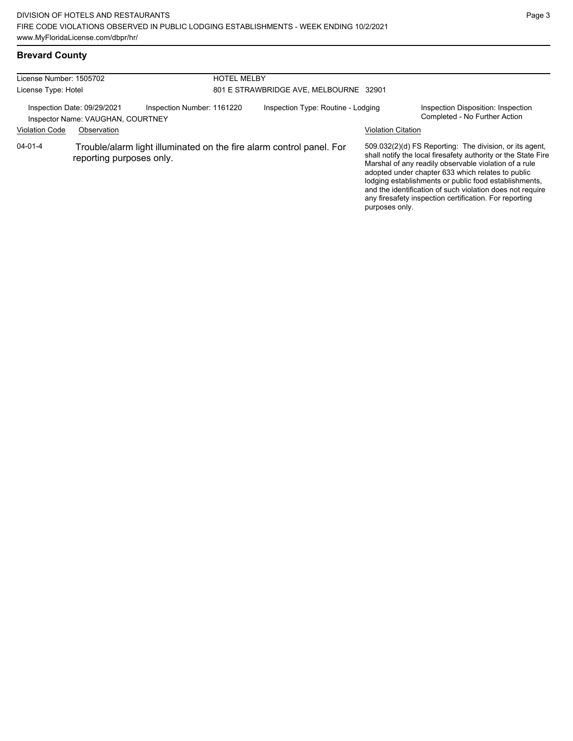# **Brevard County**

| License Number: 1505702<br>License Type: Hotel |                                                                                 |                            | <b>HOTEL MELBY</b> | 801 E STRAWBRIDGE AVE, MELBOURNE 32901                               |                           |                                                                                                                                                                                                                                                                                                                                                                                                                        |
|------------------------------------------------|---------------------------------------------------------------------------------|----------------------------|--------------------|----------------------------------------------------------------------|---------------------------|------------------------------------------------------------------------------------------------------------------------------------------------------------------------------------------------------------------------------------------------------------------------------------------------------------------------------------------------------------------------------------------------------------------------|
| <b>Violation Code</b>                          | Inspection Date: 09/29/2021<br>Inspector Name: VAUGHAN, COURTNEY<br>Observation | Inspection Number: 1161220 |                    | Inspection Type: Routine - Lodging                                   | <b>Violation Citation</b> | Inspection Disposition: Inspection<br>Completed - No Further Action                                                                                                                                                                                                                                                                                                                                                    |
| $04 - 01 - 4$                                  | reporting purposes only.                                                        |                            |                    | Trouble/alarm light illuminated on the fire alarm control panel. For | purposes only.            | 509.032(2)(d) FS Reporting: The division, or its agent,<br>shall notify the local firesafety authority or the State Fire<br>Marshal of any readily observable violation of a rule<br>adopted under chapter 633 which relates to public<br>lodging establishments or public food establishments,<br>and the identification of such violation does not require<br>any firesafety inspection certification. For reporting |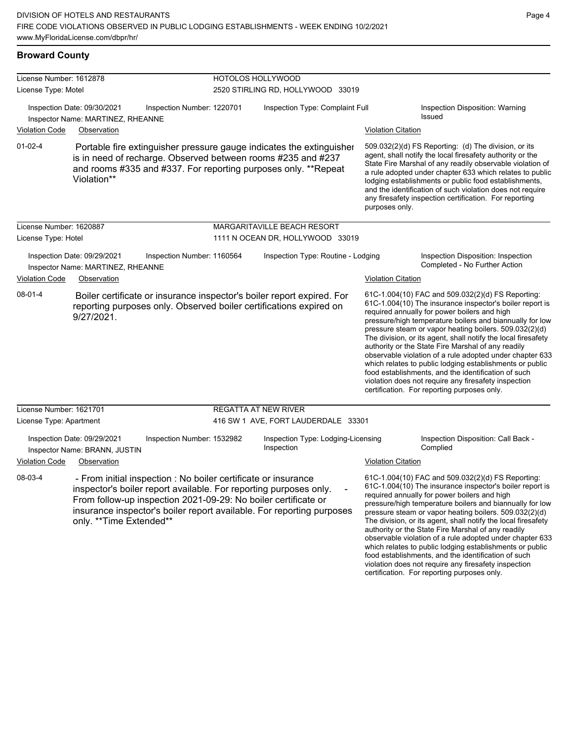| License Number: 1612878 |                                                                                                                                                                                                                                                                                                           |                            | HOTOLOS HOLLYWOOD                                |                           |                                                                                                                                                                                                                                                                                                                                                                                                                                                                                                                                                                                                                                                                                                  |
|-------------------------|-----------------------------------------------------------------------------------------------------------------------------------------------------------------------------------------------------------------------------------------------------------------------------------------------------------|----------------------------|--------------------------------------------------|---------------------------|--------------------------------------------------------------------------------------------------------------------------------------------------------------------------------------------------------------------------------------------------------------------------------------------------------------------------------------------------------------------------------------------------------------------------------------------------------------------------------------------------------------------------------------------------------------------------------------------------------------------------------------------------------------------------------------------------|
| License Type: Motel     |                                                                                                                                                                                                                                                                                                           |                            | 2520 STIRLING RD, HOLLYWOOD 33019                |                           |                                                                                                                                                                                                                                                                                                                                                                                                                                                                                                                                                                                                                                                                                                  |
| <b>Violation Code</b>   | Inspection Date: 09/30/2021<br>Inspector Name: MARTINEZ, RHEANNE<br>Observation                                                                                                                                                                                                                           | Inspection Number: 1220701 | Inspection Type: Complaint Full                  | <b>Violation Citation</b> | Inspection Disposition: Warning<br>Issued                                                                                                                                                                                                                                                                                                                                                                                                                                                                                                                                                                                                                                                        |
| $01-02-4$               | Portable fire extinguisher pressure gauge indicates the extinguisher<br>is in need of recharge. Observed between rooms #235 and #237<br>and rooms #335 and #337. For reporting purposes only. **Repeat<br>Violation**                                                                                     |                            |                                                  | purposes only.            | 509.032(2)(d) FS Reporting: (d) The division, or its<br>agent, shall notify the local firesafety authority or the<br>State Fire Marshal of any readily observable violation of<br>a rule adopted under chapter 633 which relates to public<br>lodging establishments or public food establishments,<br>and the identification of such violation does not require<br>any firesafety inspection certification. For reporting                                                                                                                                                                                                                                                                       |
| License Number: 1620887 |                                                                                                                                                                                                                                                                                                           |                            | MARGARITAVILLE BEACH RESORT                      |                           |                                                                                                                                                                                                                                                                                                                                                                                                                                                                                                                                                                                                                                                                                                  |
| License Type: Hotel     |                                                                                                                                                                                                                                                                                                           |                            | 1111 N OCEAN DR, HOLLYWOOD 33019                 |                           |                                                                                                                                                                                                                                                                                                                                                                                                                                                                                                                                                                                                                                                                                                  |
|                         | Inspection Date: 09/29/2021<br>Inspector Name: MARTINEZ, RHEANNE                                                                                                                                                                                                                                          | Inspection Number: 1160564 | Inspection Type: Routine - Lodging               |                           | Inspection Disposition: Inspection<br>Completed - No Further Action                                                                                                                                                                                                                                                                                                                                                                                                                                                                                                                                                                                                                              |
| <b>Violation Code</b>   | Observation                                                                                                                                                                                                                                                                                               |                            |                                                  | <b>Violation Citation</b> |                                                                                                                                                                                                                                                                                                                                                                                                                                                                                                                                                                                                                                                                                                  |
| $08 - 01 - 4$           | Boiler certificate or insurance inspector's boiler report expired. For<br>reporting purposes only. Observed boiler certifications expired on<br>9/27/2021.                                                                                                                                                |                            |                                                  |                           | 61C-1.004(10) FAC and 509.032(2)(d) FS Reporting:<br>61C-1.004(10) The insurance inspector's boiler report is<br>required annually for power boilers and high<br>pressure/high temperature boilers and biannually for low<br>pressure steam or vapor heating boilers. 509.032(2)(d)<br>The division, or its agent, shall notify the local firesafety<br>authority or the State Fire Marshal of any readily<br>observable violation of a rule adopted under chapter 633<br>which relates to public lodging establishments or public<br>food establishments, and the identification of such<br>violation does not require any firesafety inspection<br>certification. For reporting purposes only. |
| License Number: 1621701 |                                                                                                                                                                                                                                                                                                           |                            | <b>REGATTA AT NEW RIVER</b>                      |                           |                                                                                                                                                                                                                                                                                                                                                                                                                                                                                                                                                                                                                                                                                                  |
| License Type: Apartment |                                                                                                                                                                                                                                                                                                           |                            | 416 SW 1 AVE, FORT LAUDERDALE 33301              |                           |                                                                                                                                                                                                                                                                                                                                                                                                                                                                                                                                                                                                                                                                                                  |
|                         | Inspection Date: 09/29/2021<br>Inspector Name: BRANN, JUSTIN                                                                                                                                                                                                                                              | Inspection Number: 1532982 | Inspection Type: Lodging-Licensing<br>Inspection |                           | Inspection Disposition: Call Back -<br>Complied                                                                                                                                                                                                                                                                                                                                                                                                                                                                                                                                                                                                                                                  |
| <b>Violation Code</b>   | Observation                                                                                                                                                                                                                                                                                               |                            |                                                  | <b>Violation Citation</b> |                                                                                                                                                                                                                                                                                                                                                                                                                                                                                                                                                                                                                                                                                                  |
| 08-03-4                 | - From initial inspection : No boiler certificate or insurance<br>inspector's boiler report available. For reporting purposes only.<br>From follow-up inspection 2021-09-29: No boiler certificate or<br>insurance inspector's boiler report available. For reporting purposes<br>only. **Time Extended** |                            |                                                  |                           | 61C-1.004(10) FAC and 509.032(2)(d) FS Reporting:<br>61C-1.004(10) The insurance inspector's boiler report is<br>required annually for power boilers and high<br>pressure/high temperature boilers and biannually for low<br>pressure steam or vapor heating boilers. 509.032(2)(d)<br>The division, or its agent, shall notify the local firesafety<br>authority or the State Fire Marshal of any readily<br>observable violation of a rule adopted under chapter 633<br>which relates to public lodging establishments or public                                                                                                                                                               |

food establishments, and the identification of such violation does not require any firesafety inspection certification. For reporting purposes only.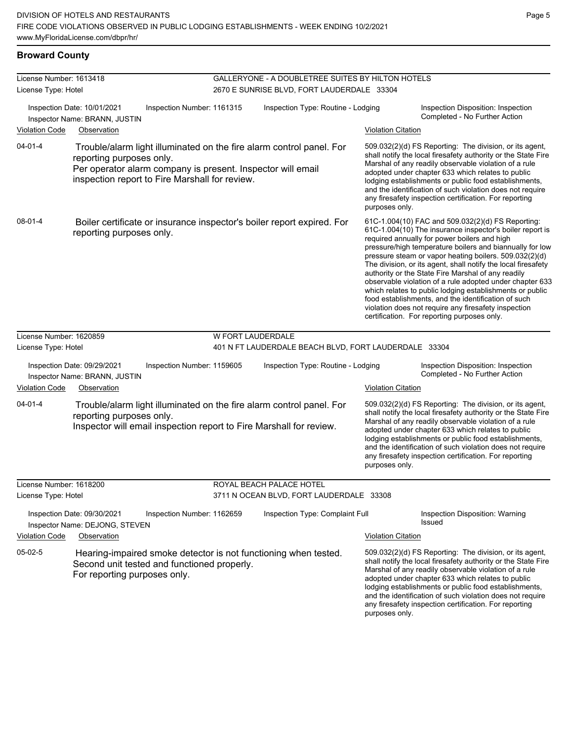## **Broward County**

| License Number: 1613418                        |                                                                                                                                                                                                                   |                            | GALLERYONE - A DOUBLETREE SUITES BY HILTON HOTELS                      |                           |                                                                                                                                                                                                                                                                                                                                                                                                                                                                                                                                                                                                                                                                                                  |
|------------------------------------------------|-------------------------------------------------------------------------------------------------------------------------------------------------------------------------------------------------------------------|----------------------------|------------------------------------------------------------------------|---------------------------|--------------------------------------------------------------------------------------------------------------------------------------------------------------------------------------------------------------------------------------------------------------------------------------------------------------------------------------------------------------------------------------------------------------------------------------------------------------------------------------------------------------------------------------------------------------------------------------------------------------------------------------------------------------------------------------------------|
| License Type: Hotel                            |                                                                                                                                                                                                                   |                            | 2670 E SUNRISE BLVD, FORT LAUDERDALE 33304                             |                           |                                                                                                                                                                                                                                                                                                                                                                                                                                                                                                                                                                                                                                                                                                  |
|                                                | Inspection Date: 10/01/2021<br>Inspector Name: BRANN, JUSTIN                                                                                                                                                      | Inspection Number: 1161315 | Inspection Type: Routine - Lodging                                     |                           | Inspection Disposition: Inspection<br>Completed - No Further Action                                                                                                                                                                                                                                                                                                                                                                                                                                                                                                                                                                                                                              |
| <b>Violation Code</b>                          | Observation                                                                                                                                                                                                       |                            |                                                                        | <b>Violation Citation</b> |                                                                                                                                                                                                                                                                                                                                                                                                                                                                                                                                                                                                                                                                                                  |
| $04 - 01 - 4$                                  | Trouble/alarm light illuminated on the fire alarm control panel. For<br>reporting purposes only.<br>Per operator alarm company is present. Inspector will email<br>inspection report to Fire Marshall for review. |                            |                                                                        | purposes only.            | 509.032(2)(d) FS Reporting: The division, or its agent,<br>shall notify the local firesafety authority or the State Fire<br>Marshal of any readily observable violation of a rule<br>adopted under chapter 633 which relates to public<br>lodging establishments or public food establishments,<br>and the identification of such violation does not require<br>any firesafety inspection certification. For reporting                                                                                                                                                                                                                                                                           |
| 08-01-4                                        | reporting purposes only.                                                                                                                                                                                          |                            | Boiler certificate or insurance inspector's boiler report expired. For |                           | 61C-1.004(10) FAC and 509.032(2)(d) FS Reporting:<br>61C-1.004(10) The insurance inspector's boiler report is<br>required annually for power boilers and high<br>pressure/high temperature boilers and biannually for low<br>pressure steam or vapor heating boilers. 509.032(2)(d)<br>The division, or its agent, shall notify the local firesafety<br>authority or the State Fire Marshal of any readily<br>observable violation of a rule adopted under chapter 633<br>which relates to public lodging establishments or public<br>food establishments, and the identification of such<br>violation does not require any firesafety inspection<br>certification. For reporting purposes only. |
| License Number: 1620859                        |                                                                                                                                                                                                                   |                            | <b>W FORT LAUDERDALE</b>                                               |                           |                                                                                                                                                                                                                                                                                                                                                                                                                                                                                                                                                                                                                                                                                                  |
| License Type: Hotel                            |                                                                                                                                                                                                                   |                            | 401 N FT LAUDERDALE BEACH BLVD, FORT LAUDERDALE 33304                  |                           |                                                                                                                                                                                                                                                                                                                                                                                                                                                                                                                                                                                                                                                                                                  |
|                                                | Inspection Date: 09/29/2021<br>Inspector Name: BRANN, JUSTIN                                                                                                                                                      | Inspection Number: 1159605 | Inspection Type: Routine - Lodging                                     |                           | Inspection Disposition: Inspection<br>Completed - No Further Action                                                                                                                                                                                                                                                                                                                                                                                                                                                                                                                                                                                                                              |
| <b>Violation Code</b>                          | Observation                                                                                                                                                                                                       |                            |                                                                        | <b>Violation Citation</b> |                                                                                                                                                                                                                                                                                                                                                                                                                                                                                                                                                                                                                                                                                                  |
| $04 - 01 - 4$                                  | Trouble/alarm light illuminated on the fire alarm control panel. For<br>reporting purposes only.<br>Inspector will email inspection report to Fire Marshall for review.                                           |                            |                                                                        | purposes only.            | 509.032(2)(d) FS Reporting: The division, or its agent,<br>shall notify the local firesafety authority or the State Fire<br>Marshal of any readily observable violation of a rule<br>adopted under chapter 633 which relates to public<br>lodging establishments or public food establishments,<br>and the identification of such violation does not require<br>any firesafety inspection certification. For reporting                                                                                                                                                                                                                                                                           |
| License Number: 1618200<br>License Type: Hotel |                                                                                                                                                                                                                   |                            | ROYAL BEACH PALACE HOTEL<br>3711 N OCEAN BLVD, FORT LAUDERDALE 33308   |                           |                                                                                                                                                                                                                                                                                                                                                                                                                                                                                                                                                                                                                                                                                                  |
|                                                | Inspection Date: 09/30/2021<br>Inspector Name: DEJONG, STEVEN                                                                                                                                                     | Inspection Number: 1162659 | Inspection Type: Complaint Full                                        |                           | Inspection Disposition: Warning<br><b>Issued</b>                                                                                                                                                                                                                                                                                                                                                                                                                                                                                                                                                                                                                                                 |
| <b>Violation Code</b>                          | Observation                                                                                                                                                                                                       |                            |                                                                        | <b>Violation Citation</b> |                                                                                                                                                                                                                                                                                                                                                                                                                                                                                                                                                                                                                                                                                                  |
| 05-02-5                                        | Hearing-impaired smoke detector is not functioning when tested.<br>Second unit tested and functioned properly.<br>For reporting purposes only.                                                                    |                            |                                                                        | purposes only.            | 509.032(2)(d) FS Reporting: The division, or its agent,<br>shall notify the local firesafety authority or the State Fire<br>Marshal of any readily observable violation of a rule<br>adopted under chapter 633 which relates to public<br>lodging establishments or public food establishments,<br>and the identification of such violation does not require<br>any firesafety inspection certification. For reporting                                                                                                                                                                                                                                                                           |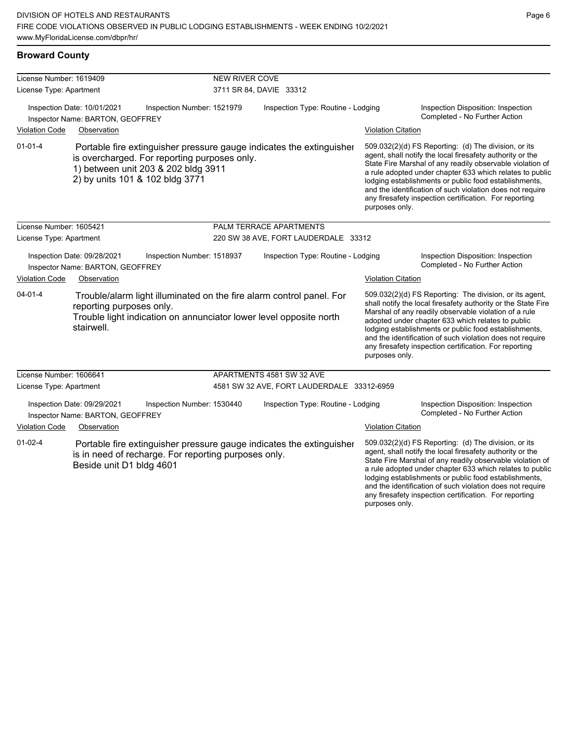## **Broward County**

| License Number: 1619409 |                                                                 |                                                                                                                        | <b>NEW RIVER COVE</b> |                                                                      |                           |                                                                                                                                                                                                                                                                                                                                                                                                                            |
|-------------------------|-----------------------------------------------------------------|------------------------------------------------------------------------------------------------------------------------|-----------------------|----------------------------------------------------------------------|---------------------------|----------------------------------------------------------------------------------------------------------------------------------------------------------------------------------------------------------------------------------------------------------------------------------------------------------------------------------------------------------------------------------------------------------------------------|
| License Type: Apartment |                                                                 |                                                                                                                        |                       | 3711 SR 84, DAVIE 33312                                              |                           |                                                                                                                                                                                                                                                                                                                                                                                                                            |
|                         | Inspection Date: 10/01/2021<br>Inspector Name: BARTON, GEOFFREY | Inspection Number: 1521979                                                                                             |                       | Inspection Type: Routine - Lodging                                   |                           | Inspection Disposition: Inspection<br>Completed - No Further Action                                                                                                                                                                                                                                                                                                                                                        |
| <b>Violation Code</b>   | Observation                                                     |                                                                                                                        |                       |                                                                      | <b>Violation Citation</b> |                                                                                                                                                                                                                                                                                                                                                                                                                            |
| $01 - 01 - 4$           |                                                                 | is overcharged. For reporting purposes only.<br>1) between unit 203 & 202 bldg 3911<br>2) by units 101 & 102 bldg 3771 |                       | Portable fire extinguisher pressure gauge indicates the extinguisher | purposes only.            | 509.032(2)(d) FS Reporting: (d) The division, or its<br>agent, shall notify the local firesafety authority or the<br>State Fire Marshal of any readily observable violation of<br>a rule adopted under chapter 633 which relates to public<br>lodging establishments or public food establishments,<br>and the identification of such violation does not require<br>any firesafety inspection certification. For reporting |
| License Number: 1605421 |                                                                 |                                                                                                                        |                       | PALM TERRACE APARTMENTS                                              |                           |                                                                                                                                                                                                                                                                                                                                                                                                                            |
| License Type: Apartment |                                                                 |                                                                                                                        |                       | 220 SW 38 AVE, FORT LAUDERDALE 33312                                 |                           |                                                                                                                                                                                                                                                                                                                                                                                                                            |
|                         | Inspection Date: 09/28/2021<br>Inspector Name: BARTON, GEOFFREY | Inspection Number: 1518937                                                                                             |                       | Inspection Type: Routine - Lodging                                   |                           | Inspection Disposition: Inspection<br>Completed - No Further Action                                                                                                                                                                                                                                                                                                                                                        |
| <b>Violation Code</b>   | Observation                                                     |                                                                                                                        |                       |                                                                      | <b>Violation Citation</b> |                                                                                                                                                                                                                                                                                                                                                                                                                            |
| $04 - 01 - 4$           | reporting purposes only.<br>stairwell.                          | Trouble light indication on annunciator lower level opposite north                                                     |                       | Trouble/alarm light illuminated on the fire alarm control panel. For | purposes only.            | 509.032(2)(d) FS Reporting: The division, or its agent,<br>shall notify the local firesafety authority or the State Fire<br>Marshal of any readily observable violation of a rule<br>adopted under chapter 633 which relates to public<br>lodging establishments or public food establishments,<br>and the identification of such violation does not require<br>any firesafety inspection certification. For reporting     |
| License Number: 1606641 |                                                                 |                                                                                                                        |                       | APARTMENTS 4581 SW 32 AVE                                            |                           |                                                                                                                                                                                                                                                                                                                                                                                                                            |
| License Type: Apartment |                                                                 |                                                                                                                        |                       | 4581 SW 32 AVE, FORT LAUDERDALE 33312-6959                           |                           |                                                                                                                                                                                                                                                                                                                                                                                                                            |
|                         | Inspection Date: 09/29/2021<br>Inspector Name: BARTON, GEOFFREY | Inspection Number: 1530440                                                                                             |                       | Inspection Type: Routine - Lodging                                   |                           | Inspection Disposition: Inspection<br>Completed - No Further Action                                                                                                                                                                                                                                                                                                                                                        |
| <b>Violation Code</b>   | Observation                                                     |                                                                                                                        |                       |                                                                      | <b>Violation Citation</b> |                                                                                                                                                                                                                                                                                                                                                                                                                            |
| $01 - 02 - 4$           | Beside unit D1 bldg 4601                                        | is in need of recharge. For reporting purposes only.                                                                   |                       | Portable fire extinguisher pressure gauge indicates the extinguisher |                           | 509.032(2)(d) FS Reporting: (d) The division, or its<br>agent, shall notify the local firesafety authority or the<br>State Fire Marshal of any readily observable violation of<br>a rule adopted under chapter 633 which relates to public<br>lodging establishments or public food establishments,<br>and the identification of such violation does not require<br>any firesafety inspection certification. For reporting |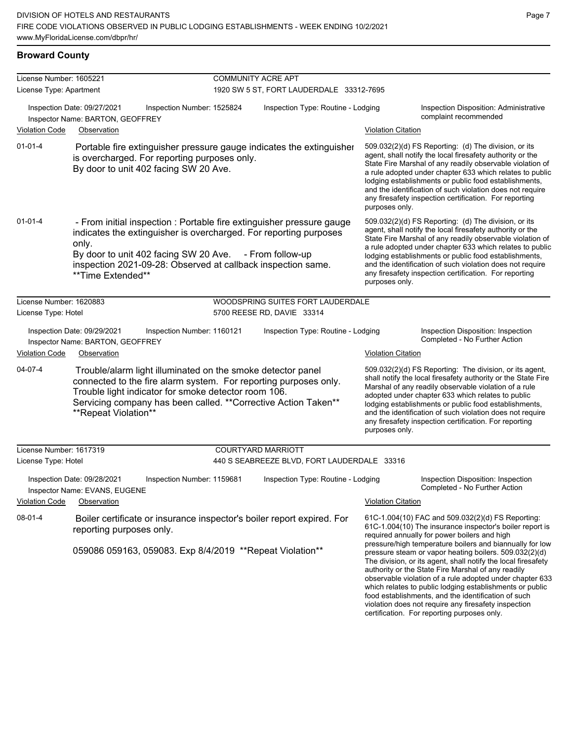#### **Broward County**

| License Number: 1605221 |                                                                                                                                                      | <b>COMMUNITY ACRE APT</b>                                                                                                                  |                                                                                                                                                                                                                                                                                                                                                                                                                                              |
|-------------------------|------------------------------------------------------------------------------------------------------------------------------------------------------|--------------------------------------------------------------------------------------------------------------------------------------------|----------------------------------------------------------------------------------------------------------------------------------------------------------------------------------------------------------------------------------------------------------------------------------------------------------------------------------------------------------------------------------------------------------------------------------------------|
| License Type: Apartment |                                                                                                                                                      | 1920 SW 5 ST, FORT LAUDERDALE 33312-7695                                                                                                   |                                                                                                                                                                                                                                                                                                                                                                                                                                              |
|                         | Inspection Date: 09/27/2021<br>Inspection Number: 1525824<br>Inspector Name: BARTON, GEOFFREY                                                        | Inspection Type: Routine - Lodging                                                                                                         | Inspection Disposition: Administrative<br>complaint recommended                                                                                                                                                                                                                                                                                                                                                                              |
| <b>Violation Code</b>   | Observation                                                                                                                                          |                                                                                                                                            | <b>Violation Citation</b>                                                                                                                                                                                                                                                                                                                                                                                                                    |
| $01 - 01 - 4$           | is overcharged. For reporting purposes only.<br>By door to unit 402 facing SW 20 Ave.                                                                | Portable fire extinguisher pressure gauge indicates the extinguisher                                                                       | 509.032(2)(d) FS Reporting: (d) The division, or its<br>agent, shall notify the local firesafety authority or the<br>State Fire Marshal of any readily observable violation of<br>a rule adopted under chapter 633 which relates to public<br>lodging establishments or public food establishments,<br>and the identification of such violation does not require<br>any firesafety inspection certification. For reporting<br>purposes only. |
| $01 - 01 - 4$           | only.<br>By door to unit 402 facing SW 20 Ave. - From follow-up<br>inspection 2021-09-28: Observed at callback inspection same.<br>**Time Extended** | - From initial inspection : Portable fire extinguisher pressure gauge<br>indicates the extinguisher is overcharged. For reporting purposes | 509.032(2)(d) FS Reporting: (d) The division, or its<br>agent, shall notify the local firesafety authority or the<br>State Fire Marshal of any readily observable violation of<br>a rule adopted under chapter 633 which relates to public<br>lodging establishments or public food establishments,<br>and the identification of such violation does not require<br>any firesafety inspection certification. For reporting<br>purposes only. |
| License Number: 1620883 |                                                                                                                                                      | WOODSPRING SUITES FORT LAUDERDALE                                                                                                          |                                                                                                                                                                                                                                                                                                                                                                                                                                              |
| License Type: Hotel     |                                                                                                                                                      | 5700 REESE RD, DAVIE 33314                                                                                                                 |                                                                                                                                                                                                                                                                                                                                                                                                                                              |
|                         | Inspection Date: 09/29/2021<br>Inspection Number: 1160121<br>Inspector Name: BARTON, GEOFFREY                                                        | Inspection Type: Routine - Lodging                                                                                                         | Inspection Disposition: Inspection<br>Completed - No Further Action                                                                                                                                                                                                                                                                                                                                                                          |
| <b>Violation Code</b>   | Observation                                                                                                                                          |                                                                                                                                            | <b>Violation Citation</b>                                                                                                                                                                                                                                                                                                                                                                                                                    |
| 04-07-4                 | Trouble/alarm light illuminated on the smoke detector panel<br>Trouble light indicator for smoke detector room 106.<br>**Repeat Violation**          | connected to the fire alarm system. For reporting purposes only.<br>Servicing company has been called. ** Corrective Action Taken**        | 509.032(2)(d) FS Reporting: The division, or its agent,<br>shall notify the local firesafety authority or the State Fire<br>Marshal of any readily observable violation of a rule<br>adopted under chapter 633 which relates to public<br>lodging establishments or public food establishments,<br>and the identification of such violation does not require<br>any firesafety inspection certification. For reporting<br>purposes only.     |
| License Number: 1617319 |                                                                                                                                                      | <b>COURTYARD MARRIOTT</b>                                                                                                                  |                                                                                                                                                                                                                                                                                                                                                                                                                                              |
| License Type: Hotel     |                                                                                                                                                      | 440 S SEABREEZE BLVD, FORT LAUDERDALE 33316                                                                                                |                                                                                                                                                                                                                                                                                                                                                                                                                                              |
| <b>Violation Code</b>   | Inspection Date: 09/28/2021<br>Inspection Number: 1159681<br>Inspector Name: EVANS, EUGENE<br>Observation                                            | Inspection Type: Routine - Lodging                                                                                                         | Inspection Disposition: Inspection<br>Completed - No Further Action<br><b>Violation Citation</b>                                                                                                                                                                                                                                                                                                                                             |
| $08-01-4$               | reporting purposes only.                                                                                                                             | Boiler certificate or insurance inspector's boiler report expired. For                                                                     | 61C-1.004(10) FAC and 509.032(2)(d) FS Reporting:<br>61C-1.004(10) The insurance inspector's boiler report is<br>required annually for power boilers and high                                                                                                                                                                                                                                                                                |
|                         | 059086 059163, 059083. Exp 8/4/2019 ** Repeat Violation**                                                                                            |                                                                                                                                            | pressure/high temperature boilers and biannually for low<br>pressure steam or vapor heating boilers. 509.032(2)(d)<br>The division, or its agent, shall notify the local firesafety<br>authority or the State Fire Marshal of any readily<br>observable violation of a rule adopted under chapter 633                                                                                                                                        |

which relates to public lodging establishments or public food establishments, and the identification of such violation does not require any firesafety inspection certification. For reporting purposes only.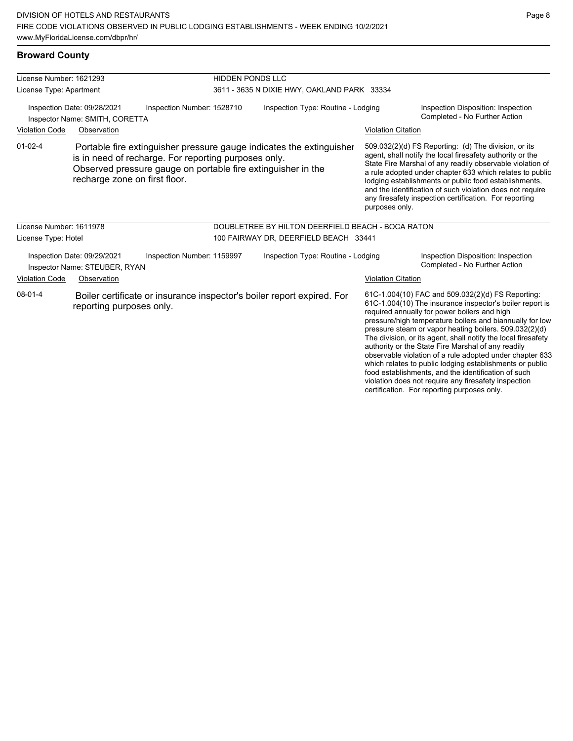| License Number: 1621293                                       |                                                              |                                                                                                                      | <b>HIDDEN PONDS LLC</b>            |                                                                        |                           |                                                                                                                                                                                                                                                                                                                                                                                                                                                                                                                                    |
|---------------------------------------------------------------|--------------------------------------------------------------|----------------------------------------------------------------------------------------------------------------------|------------------------------------|------------------------------------------------------------------------|---------------------------|------------------------------------------------------------------------------------------------------------------------------------------------------------------------------------------------------------------------------------------------------------------------------------------------------------------------------------------------------------------------------------------------------------------------------------------------------------------------------------------------------------------------------------|
|                                                               |                                                              |                                                                                                                      |                                    |                                                                        |                           |                                                                                                                                                                                                                                                                                                                                                                                                                                                                                                                                    |
| License Type: Apartment                                       |                                                              |                                                                                                                      |                                    | 3611 - 3635 N DIXIE HWY, OAKLAND PARK 33334                            |                           |                                                                                                                                                                                                                                                                                                                                                                                                                                                                                                                                    |
| Inspection Date: 09/28/2021<br>Inspector Name: SMITH, CORETTA |                                                              | Inspection Number: 1528710                                                                                           | Inspection Type: Routine - Lodging |                                                                        |                           | Inspection Disposition: Inspection<br>Completed - No Further Action                                                                                                                                                                                                                                                                                                                                                                                                                                                                |
| <b>Violation Code</b>                                         | Observation                                                  |                                                                                                                      |                                    |                                                                        | <b>Violation Citation</b> |                                                                                                                                                                                                                                                                                                                                                                                                                                                                                                                                    |
| $01 - 02 - 4$                                                 | recharge zone on first floor.                                | is in need of recharge. For reporting purposes only.<br>Observed pressure gauge on portable fire extinguisher in the |                                    | Portable fire extinguisher pressure gauge indicates the extinguisher   | purposes only.            | 509.032(2)(d) FS Reporting: (d) The division, or its<br>agent, shall notify the local firesafety authority or the<br>State Fire Marshal of any readily observable violation of<br>a rule adopted under chapter 633 which relates to public<br>lodging establishments or public food establishments,<br>and the identification of such violation does not require<br>any firesafety inspection certification. For reporting                                                                                                         |
| License Number: 1611978                                       |                                                              |                                                                                                                      |                                    | DOUBLETREE BY HILTON DEERFIELD BEACH - BOCA RATON                      |                           |                                                                                                                                                                                                                                                                                                                                                                                                                                                                                                                                    |
| License Type: Hotel                                           |                                                              |                                                                                                                      |                                    | 100 FAIRWAY DR, DEERFIELD BEACH 33441                                  |                           |                                                                                                                                                                                                                                                                                                                                                                                                                                                                                                                                    |
|                                                               | Inspection Date: 09/29/2021<br>Inspector Name: STEUBER, RYAN | Inspection Number: 1159997                                                                                           |                                    | Inspection Type: Routine - Lodging                                     |                           | Inspection Disposition: Inspection<br>Completed - No Further Action                                                                                                                                                                                                                                                                                                                                                                                                                                                                |
| <b>Violation Code</b>                                         | Observation                                                  |                                                                                                                      |                                    |                                                                        | <b>Violation Citation</b> |                                                                                                                                                                                                                                                                                                                                                                                                                                                                                                                                    |
| $08 - 01 - 4$                                                 | reporting purposes only.                                     |                                                                                                                      |                                    | Boiler certificate or insurance inspector's boiler report expired. For |                           | 61C-1.004(10) FAC and 509.032(2)(d) FS Reporting:<br>61C-1.004(10) The insurance inspector's boiler report is<br>required annually for power boilers and high<br>pressure/high temperature boilers and biannually for low<br>pressure steam or vapor heating boilers. 509.032(2)(d)<br>The division, or its agent, shall notify the local firesafety<br>authority or the State Fire Marshal of any readily<br>observable violation of a rule adopted under chapter 633<br>which relates to public lodging establishments or public |

food establishments, and the identification of such violation does not require any firesafety inspection certification. For reporting purposes only.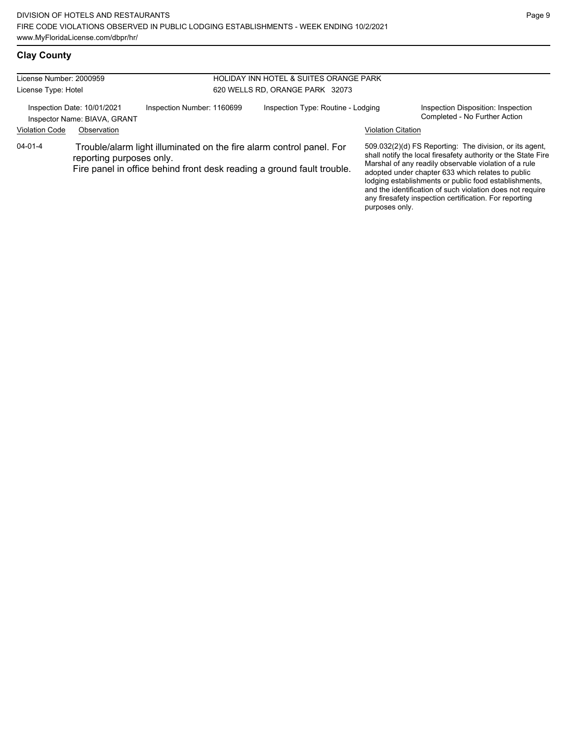| License Number: 2000959 |                                                             |                            | HOLIDAY INN HOTEL & SUITES ORANGE PARK                                                                                                         |                           |                                                                                                                                                                                                                                                                                                                                                              |
|-------------------------|-------------------------------------------------------------|----------------------------|------------------------------------------------------------------------------------------------------------------------------------------------|---------------------------|--------------------------------------------------------------------------------------------------------------------------------------------------------------------------------------------------------------------------------------------------------------------------------------------------------------------------------------------------------------|
| License Type: Hotel     |                                                             |                            | 620 WELLS RD, ORANGE PARK 32073                                                                                                                |                           |                                                                                                                                                                                                                                                                                                                                                              |
|                         | Inspection Date: 10/01/2021<br>Inspector Name: BIAVA, GRANT | Inspection Number: 1160699 | Inspection Type: Routine - Lodging                                                                                                             |                           | Inspection Disposition: Inspection<br>Completed - No Further Action                                                                                                                                                                                                                                                                                          |
| <b>Violation Code</b>   | Observation                                                 |                            |                                                                                                                                                | <b>Violation Citation</b> |                                                                                                                                                                                                                                                                                                                                                              |
| $04 - 01 - 4$           | reporting purposes only.                                    |                            | Trouble/alarm light illuminated on the fire alarm control panel. For<br>Fire panel in office behind front desk reading a ground fault trouble. |                           | 509.032(2)(d) FS Reporting: The division, or its agent,<br>shall notify the local firesafety authority or the State Fire<br>Marshal of any readily observable violation of a rule<br>adopted under chapter 633 which relates to public<br>lodging establishments or public food establishments,<br>and the identification of such violation does not require |

any firesafety inspection certification. For reporting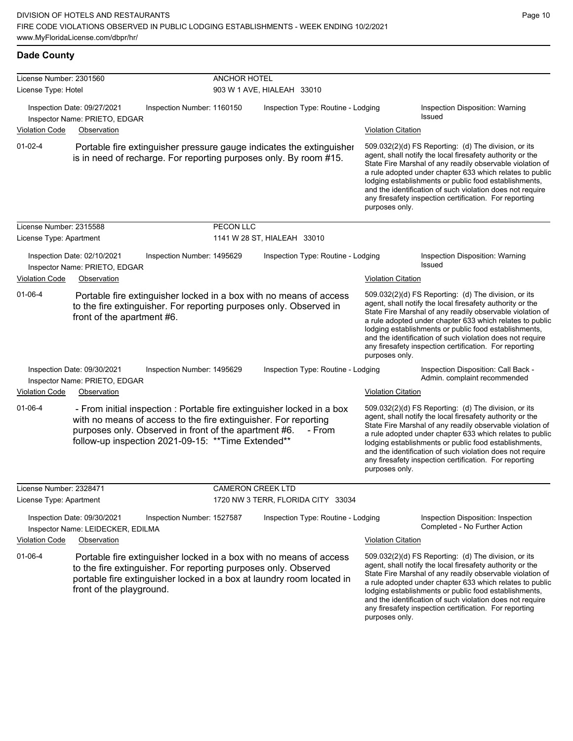01-02-4 Portable fire extinguisher pressure gauge indicates the extinguisher is in need of recharge. For reporting purposes only. By room #15.

509.032(2)(d) FS Reporting: (d) The division, or its agent, shall notify the local firesafety authority or the State Fire Marshal of any readily observable violation of a rule adopted under chapter 633 which relates to public lodging establishments or public food establishments, and the identification of such violation does not require any firesafety inspection certification. For reporting purposes only.

any firesafety inspection certification. For reporting

| License Number: 2315588 |                                                                  |                                                                                                                                                                                 | PECON LLC                |                                                                                                                                             |                           |                                                                                                                                                                                                                                                                                                                                                                                                                            |
|-------------------------|------------------------------------------------------------------|---------------------------------------------------------------------------------------------------------------------------------------------------------------------------------|--------------------------|---------------------------------------------------------------------------------------------------------------------------------------------|---------------------------|----------------------------------------------------------------------------------------------------------------------------------------------------------------------------------------------------------------------------------------------------------------------------------------------------------------------------------------------------------------------------------------------------------------------------|
| License Type: Apartment |                                                                  |                                                                                                                                                                                 |                          | 1141 W 28 ST, HIALEAH 33010                                                                                                                 |                           |                                                                                                                                                                                                                                                                                                                                                                                                                            |
|                         | Inspection Date: 02/10/2021<br>Inspector Name: PRIETO, EDGAR     | Inspection Number: 1495629                                                                                                                                                      |                          | Inspection Type: Routine - Lodging                                                                                                          |                           | Inspection Disposition: Warning<br>Issued                                                                                                                                                                                                                                                                                                                                                                                  |
| <b>Violation Code</b>   | Observation                                                      |                                                                                                                                                                                 |                          |                                                                                                                                             | <b>Violation Citation</b> |                                                                                                                                                                                                                                                                                                                                                                                                                            |
| $01 - 06 - 4$           | front of the apartment #6.                                       |                                                                                                                                                                                 |                          | Portable fire extinguisher locked in a box with no means of access<br>to the fire extinguisher. For reporting purposes only. Observed in    | purposes only.            | 509.032(2)(d) FS Reporting: (d) The division, or its<br>agent, shall notify the local firesafety authority or the<br>State Fire Marshal of any readily observable violation of<br>a rule adopted under chapter 633 which relates to public<br>lodging establishments or public food establishments,<br>and the identification of such violation does not require<br>any firesafety inspection certification. For reporting |
|                         | Inspection Date: 09/30/2021<br>Inspector Name: PRIETO, EDGAR     | Inspection Number: 1495629                                                                                                                                                      |                          | Inspection Type: Routine - Lodging                                                                                                          |                           | Inspection Disposition: Call Back -<br>Admin. complaint recommended                                                                                                                                                                                                                                                                                                                                                        |
| <b>Violation Code</b>   | Observation                                                      |                                                                                                                                                                                 |                          |                                                                                                                                             | <b>Violation Citation</b> |                                                                                                                                                                                                                                                                                                                                                                                                                            |
| $01 - 06 - 4$           |                                                                  | with no means of access to the fire extinguisher. For reporting<br>purposes only. Observed in front of the apartment #6.<br>follow-up inspection 2021-09-15: ** Time Extended** |                          | - From initial inspection : Portable fire extinguisher locked in a box<br>- From                                                            | purposes only.            | 509.032(2)(d) FS Reporting: (d) The division, or its<br>agent, shall notify the local firesafety authority or the<br>State Fire Marshal of any readily observable violation of<br>a rule adopted under chapter 633 which relates to public<br>lodging establishments or public food establishments,<br>and the identification of such violation does not require<br>any firesafety inspection certification. For reporting |
| License Number: 2328471 |                                                                  |                                                                                                                                                                                 | <b>CAMERON CREEK LTD</b> |                                                                                                                                             |                           |                                                                                                                                                                                                                                                                                                                                                                                                                            |
| License Type: Apartment |                                                                  |                                                                                                                                                                                 |                          | 1720 NW 3 TERR, FLORIDA CITY 33034                                                                                                          |                           |                                                                                                                                                                                                                                                                                                                                                                                                                            |
|                         | Inspection Date: 09/30/2021<br>Inspector Name: LEIDECKER, EDILMA | Inspection Number: 1527587                                                                                                                                                      |                          | Inspection Type: Routine - Lodging                                                                                                          |                           | Inspection Disposition: Inspection<br>Completed - No Further Action                                                                                                                                                                                                                                                                                                                                                        |
| <b>Violation Code</b>   | Observation                                                      |                                                                                                                                                                                 |                          |                                                                                                                                             | <b>Violation Citation</b> |                                                                                                                                                                                                                                                                                                                                                                                                                            |
| $01 - 06 - 4$           | front of the playground.                                         | to the fire extinguisher. For reporting purposes only. Observed                                                                                                                 |                          | Portable fire extinguisher locked in a box with no means of access<br>portable fire extinguisher locked in a box at laundry room located in |                           | 509.032(2)(d) FS Reporting: (d) The division, or its<br>agent, shall notify the local firesafety authority or the<br>State Fire Marshal of any readily observable violation of<br>a rule adopted under chapter 633 which relates to public<br>lodging establishments or public food establishments,<br>and the identification of such violation does not require                                                           |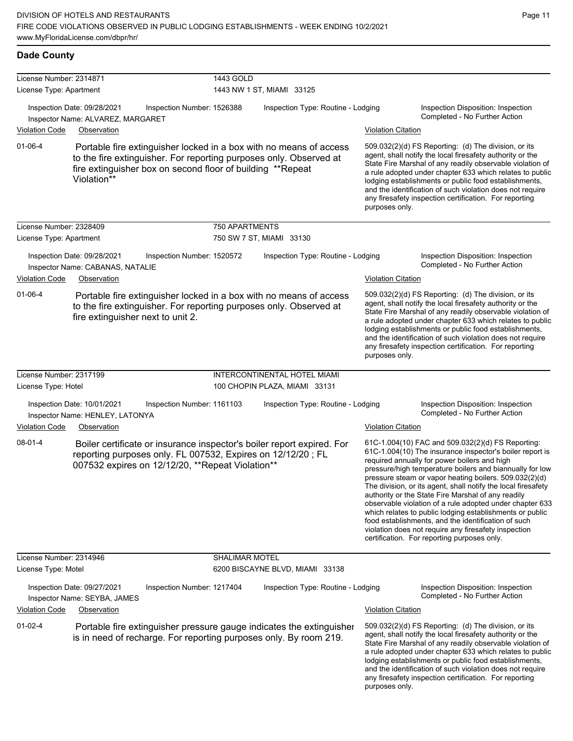**Dade County**

| License Number: 2314871 |                                                                                                                 |                            | 1443 GOLD             |                                                                                                                                           |                           |                                                                                                                                                                                                                                                                                                                                                                                                                                                                                                                                                                                                                                                                                                  |
|-------------------------|-----------------------------------------------------------------------------------------------------------------|----------------------------|-----------------------|-------------------------------------------------------------------------------------------------------------------------------------------|---------------------------|--------------------------------------------------------------------------------------------------------------------------------------------------------------------------------------------------------------------------------------------------------------------------------------------------------------------------------------------------------------------------------------------------------------------------------------------------------------------------------------------------------------------------------------------------------------------------------------------------------------------------------------------------------------------------------------------------|
| License Type: Apartment |                                                                                                                 |                            |                       | 1443 NW 1 ST, MIAMI 33125                                                                                                                 |                           |                                                                                                                                                                                                                                                                                                                                                                                                                                                                                                                                                                                                                                                                                                  |
|                         | Inspection Date: 09/28/2021<br>Inspector Name: ALVAREZ, MARGARET                                                | Inspection Number: 1526388 |                       | Inspection Type: Routine - Lodging                                                                                                        |                           | Inspection Disposition: Inspection<br>Completed - No Further Action                                                                                                                                                                                                                                                                                                                                                                                                                                                                                                                                                                                                                              |
| <b>Violation Code</b>   | Observation                                                                                                     |                            |                       |                                                                                                                                           | <b>Violation Citation</b> |                                                                                                                                                                                                                                                                                                                                                                                                                                                                                                                                                                                                                                                                                                  |
| 01-06-4                 | fire extinguisher box on second floor of building **Repeat<br>Violation**                                       |                            |                       | Portable fire extinguisher locked in a box with no means of access<br>to the fire extinguisher. For reporting purposes only. Observed at  | purposes only.            | 509.032(2)(d) FS Reporting: (d) The division, or its<br>agent, shall notify the local firesafety authority or the<br>State Fire Marshal of any readily observable violation of<br>a rule adopted under chapter 633 which relates to public<br>lodging establishments or public food establishments,<br>and the identification of such violation does not require<br>any firesafety inspection certification. For reporting                                                                                                                                                                                                                                                                       |
| License Number: 2328409 |                                                                                                                 |                            | 750 APARTMENTS        |                                                                                                                                           |                           |                                                                                                                                                                                                                                                                                                                                                                                                                                                                                                                                                                                                                                                                                                  |
| License Type: Apartment |                                                                                                                 |                            |                       | 750 SW 7 ST, MIAMI 33130                                                                                                                  |                           |                                                                                                                                                                                                                                                                                                                                                                                                                                                                                                                                                                                                                                                                                                  |
| Violation Code          | Inspection Date: 09/28/2021<br>Inspector Name: CABANAS, NATALIE<br>Observation                                  | Inspection Number: 1520572 |                       | Inspection Type: Routine - Lodging                                                                                                        | <b>Violation Citation</b> | Inspection Disposition: Inspection<br>Completed - No Further Action                                                                                                                                                                                                                                                                                                                                                                                                                                                                                                                                                                                                                              |
| 01-06-4                 | fire extinguisher next to unit 2.                                                                               |                            |                       | Portable fire extinguisher locked in a box with no means of access<br>to the fire extinguisher. For reporting purposes only. Observed at  | purposes only.            | 509.032(2)(d) FS Reporting: (d) The division, or its<br>agent, shall notify the local firesafety authority or the<br>State Fire Marshal of any readily observable violation of<br>a rule adopted under chapter 633 which relates to public<br>lodging establishments or public food establishments,<br>and the identification of such violation does not require<br>any firesafety inspection certification. For reporting                                                                                                                                                                                                                                                                       |
| License Number: 2317199 |                                                                                                                 |                            |                       | INTERCONTINENTAL HOTEL MIAMI                                                                                                              |                           |                                                                                                                                                                                                                                                                                                                                                                                                                                                                                                                                                                                                                                                                                                  |
| License Type: Hotel     |                                                                                                                 |                            |                       | 100 CHOPIN PLAZA, MIAMI 33131                                                                                                             |                           |                                                                                                                                                                                                                                                                                                                                                                                                                                                                                                                                                                                                                                                                                                  |
|                         | Inspection Date: 10/01/2021<br>Inspector Name: HENLEY, LATONYA                                                  | Inspection Number: 1161103 |                       | Inspection Type: Routine - Lodging                                                                                                        |                           | Inspection Disposition: Inspection<br>Completed - No Further Action                                                                                                                                                                                                                                                                                                                                                                                                                                                                                                                                                                                                                              |
| <b>Violation Code</b>   | Observation                                                                                                     |                            |                       |                                                                                                                                           | <b>Violation Citation</b> |                                                                                                                                                                                                                                                                                                                                                                                                                                                                                                                                                                                                                                                                                                  |
| 08-01-4                 | reporting purposes only. FL 007532, Expires on 12/12/20; FL<br>007532 expires on 12/12/20, **Repeat Violation** |                            |                       | Boiler certificate or insurance inspector's boiler report expired. For                                                                    |                           | 61C-1.004(10) FAC and 509.032(2)(d) FS Reporting:<br>61C-1.004(10) The insurance inspector's boiler report is<br>required annually for power boilers and high<br>pressure/high temperature boilers and biannually for low<br>pressure steam or vapor heating boilers. 509.032(2)(d)<br>The division, or its agent, shall notify the local firesafety<br>authority or the State Fire Marshal of any readily<br>observable violation of a rule adopted under chapter 633<br>which relates to public lodging establishments or public<br>food establishments, and the identification of such<br>violation does not require any firesafety inspection<br>certification. For reporting purposes only. |
| License Number: 2314946 |                                                                                                                 |                            | <b>SHALIMAR MOTEL</b> |                                                                                                                                           |                           |                                                                                                                                                                                                                                                                                                                                                                                                                                                                                                                                                                                                                                                                                                  |
| License Type: Motel     |                                                                                                                 |                            |                       | 6200 BISCAYNE BLVD, MIAMI 33138                                                                                                           |                           |                                                                                                                                                                                                                                                                                                                                                                                                                                                                                                                                                                                                                                                                                                  |
|                         | Inspection Date: 09/27/2021<br>Inspector Name: SEYBA, JAMES                                                     | Inspection Number: 1217404 |                       | Inspection Type: Routine - Lodging                                                                                                        |                           | Inspection Disposition: Inspection<br>Completed - No Further Action                                                                                                                                                                                                                                                                                                                                                                                                                                                                                                                                                                                                                              |
| Violation Code          | Observation                                                                                                     |                            |                       |                                                                                                                                           | <b>Violation Citation</b> |                                                                                                                                                                                                                                                                                                                                                                                                                                                                                                                                                                                                                                                                                                  |
| 01-02-4                 |                                                                                                                 |                            |                       | Portable fire extinguisher pressure gauge indicates the extinguisher<br>is in need of recharge. For reporting purposes only. By room 219. | purposes only.            | 509.032(2)(d) FS Reporting: (d) The division, or its<br>agent, shall notify the local firesafety authority or the<br>State Fire Marshal of any readily observable violation of<br>a rule adopted under chapter 633 which relates to public<br>lodging establishments or public food establishments,<br>and the identification of such violation does not require<br>any firesafety inspection certification. For reporting                                                                                                                                                                                                                                                                       |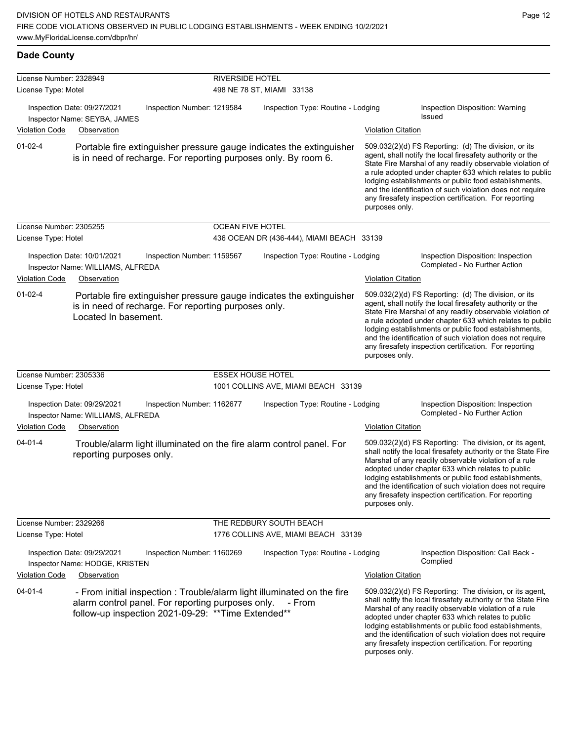| <b>Dade County</b> |
|--------------------|
|--------------------|

| License Number: 2328949<br>License Type: Motel |                                                                                                          |                            | <b>RIVERSIDE HOTEL</b><br>498 NE 78 ST, MIAMI 33138 |                                                                                                                                         |                           |                                                                                                                                                                                                                                                                                                                                                                                                                            |  |
|------------------------------------------------|----------------------------------------------------------------------------------------------------------|----------------------------|-----------------------------------------------------|-----------------------------------------------------------------------------------------------------------------------------------------|---------------------------|----------------------------------------------------------------------------------------------------------------------------------------------------------------------------------------------------------------------------------------------------------------------------------------------------------------------------------------------------------------------------------------------------------------------------|--|
|                                                | Inspection Date: 09/27/2021                                                                              | Inspection Number: 1219584 |                                                     | Inspection Type: Routine - Lodging                                                                                                      |                           | Inspection Disposition: Warning                                                                                                                                                                                                                                                                                                                                                                                            |  |
|                                                | Inspector Name: SEYBA, JAMES                                                                             |                            |                                                     |                                                                                                                                         |                           | Issued                                                                                                                                                                                                                                                                                                                                                                                                                     |  |
| <b>Violation Code</b>                          | Observation                                                                                              |                            |                                                     |                                                                                                                                         | <b>Violation Citation</b> |                                                                                                                                                                                                                                                                                                                                                                                                                            |  |
| $01 - 02 - 4$                                  |                                                                                                          |                            |                                                     | Portable fire extinguisher pressure gauge indicates the extinguisher<br>is in need of recharge. For reporting purposes only. By room 6. | purposes only.            | 509.032(2)(d) FS Reporting: (d) The division, or its<br>agent, shall notify the local firesafety authority or the<br>State Fire Marshal of any readily observable violation of<br>a rule adopted under chapter 633 which relates to public<br>lodging establishments or public food establishments,<br>and the identification of such violation does not require<br>any firesafety inspection certification. For reporting |  |
| License Number: 2305255                        |                                                                                                          |                            | <b>OCEAN FIVE HOTEL</b>                             |                                                                                                                                         |                           |                                                                                                                                                                                                                                                                                                                                                                                                                            |  |
| License Type: Hotel                            |                                                                                                          |                            |                                                     | 436 OCEAN DR (436-444), MIAMI BEACH 33139                                                                                               |                           |                                                                                                                                                                                                                                                                                                                                                                                                                            |  |
|                                                | Inspection Date: 10/01/2021<br>Inspector Name: WILLIAMS, ALFREDA                                         | Inspection Number: 1159567 |                                                     | Inspection Type: Routine - Lodging                                                                                                      |                           | Inspection Disposition: Inspection<br>Completed - No Further Action                                                                                                                                                                                                                                                                                                                                                        |  |
| <b>Violation Code</b>                          | Observation                                                                                              |                            |                                                     |                                                                                                                                         | <b>Violation Citation</b> |                                                                                                                                                                                                                                                                                                                                                                                                                            |  |
| $01 - 02 - 4$                                  | is in need of recharge. For reporting purposes only.<br>Located In basement.                             |                            |                                                     | Portable fire extinguisher pressure gauge indicates the extinguisher                                                                    | purposes only.            | 509.032(2)(d) FS Reporting: (d) The division, or its<br>agent, shall notify the local firesafety authority or the<br>State Fire Marshal of any readily observable violation of<br>a rule adopted under chapter 633 which relates to public<br>lodging establishments or public food establishments,<br>and the identification of such violation does not require<br>any firesafety inspection certification. For reporting |  |
| License Number: 2305336                        |                                                                                                          |                            | <b>ESSEX HOUSE HOTEL</b>                            |                                                                                                                                         |                           |                                                                                                                                                                                                                                                                                                                                                                                                                            |  |
| License Type: Hotel                            |                                                                                                          |                            |                                                     | 1001 COLLINS AVE, MIAMI BEACH 33139                                                                                                     |                           |                                                                                                                                                                                                                                                                                                                                                                                                                            |  |
|                                                | Inspection Date: 09/29/2021<br>Inspector Name: WILLIAMS, ALFREDA                                         | Inspection Number: 1162677 | Inspection Type: Routine - Lodging                  |                                                                                                                                         |                           | Inspection Disposition: Inspection<br>Completed - No Further Action                                                                                                                                                                                                                                                                                                                                                        |  |
| <b>Violation Code</b>                          | Observation                                                                                              |                            |                                                     |                                                                                                                                         | <b>Violation Citation</b> |                                                                                                                                                                                                                                                                                                                                                                                                                            |  |
| $04 - 01 - 4$                                  | reporting purposes only.                                                                                 |                            |                                                     | Trouble/alarm light illuminated on the fire alarm control panel. For                                                                    | purposes only.            | 509.032(2)(d) FS Reporting: The division, or its agent,<br>shall notify the local firesafety authority or the State Fire<br>Marshal of any readily observable violation of a rule<br>adopted under chapter 633 which relates to public<br>lodging establishments or public food establishments,<br>and the identification of such violation does not require<br>any firesafety inspection certification. For reporting     |  |
| License Number: 2329266                        |                                                                                                          |                            |                                                     | THE REDBURY SOUTH BEACH                                                                                                                 |                           |                                                                                                                                                                                                                                                                                                                                                                                                                            |  |
| License Type: Hotel                            |                                                                                                          |                            |                                                     | 1776 COLLINS AVE, MIAMI BEACH 33139                                                                                                     |                           |                                                                                                                                                                                                                                                                                                                                                                                                                            |  |
|                                                | Inspection Date: 09/29/2021<br>Inspector Name: HODGE, KRISTEN                                            | Inspection Number: 1160269 |                                                     | Inspection Type: Routine - Lodging                                                                                                      |                           | Inspection Disposition: Call Back -<br>Complied                                                                                                                                                                                                                                                                                                                                                                            |  |
| <b>Violation Code</b>                          | Observation                                                                                              |                            |                                                     |                                                                                                                                         | <b>Violation Citation</b> |                                                                                                                                                                                                                                                                                                                                                                                                                            |  |
| $04 - 01 - 4$                                  | alarm control panel. For reporting purposes only.<br>follow-up inspection 2021-09-29: ** Time Extended** |                            |                                                     | - From initial inspection : Trouble/alarm light illuminated on the fire<br>- From                                                       | purposes only.            | 509.032(2)(d) FS Reporting: The division, or its agent,<br>shall notify the local firesafety authority or the State Fire<br>Marshal of any readily observable violation of a rule<br>adopted under chapter 633 which relates to public<br>lodging establishments or public food establishments,<br>and the identification of such violation does not require<br>any firesafety inspection certification. For reporting     |  |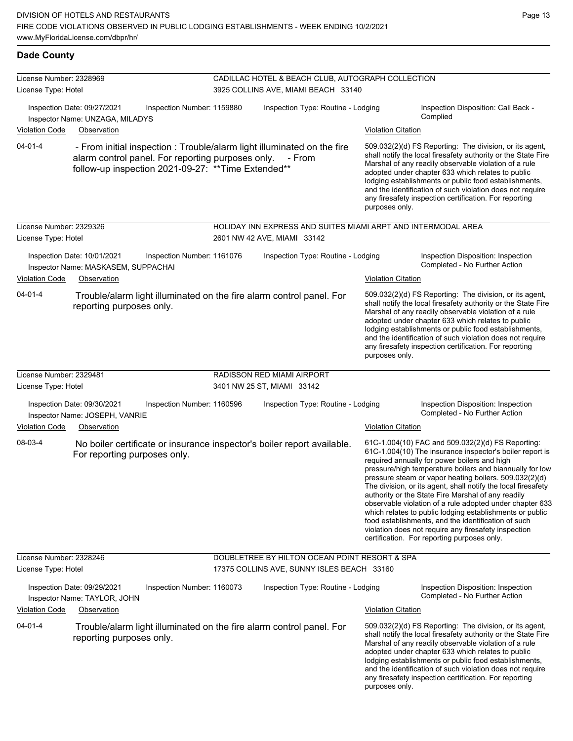## **Dade County**

| License Number: 2328969<br>License Type: Hotel                                                                            |                                                                                   |                                                                                   | CADILLAC HOTEL & BEACH CLUB, AUTOGRAPH COLLECTION<br>3925 COLLINS AVE, MIAMI BEACH 33140 |                                                                                                                                                                                                                                                                                                                                                                                                                                          |                                                                                                                                                                                                                                                                                                                                                                                                                                          |                                                                                                                                                                                                                                                                                                                                                                                                                                                                                                                                                                                                                                                                                                  |  |
|---------------------------------------------------------------------------------------------------------------------------|-----------------------------------------------------------------------------------|-----------------------------------------------------------------------------------|------------------------------------------------------------------------------------------|------------------------------------------------------------------------------------------------------------------------------------------------------------------------------------------------------------------------------------------------------------------------------------------------------------------------------------------------------------------------------------------------------------------------------------------|------------------------------------------------------------------------------------------------------------------------------------------------------------------------------------------------------------------------------------------------------------------------------------------------------------------------------------------------------------------------------------------------------------------------------------------|--------------------------------------------------------------------------------------------------------------------------------------------------------------------------------------------------------------------------------------------------------------------------------------------------------------------------------------------------------------------------------------------------------------------------------------------------------------------------------------------------------------------------------------------------------------------------------------------------------------------------------------------------------------------------------------------------|--|
| <b>Violation Code</b>                                                                                                     | Inspection Date: 09/27/2021<br>Inspector Name: UNZAGA, MILADYS<br>Observation     | Inspection Number: 1159880                                                        | Inspection Type: Routine - Lodging                                                       |                                                                                                                                                                                                                                                                                                                                                                                                                                          | <b>Violation Citation</b>                                                                                                                                                                                                                                                                                                                                                                                                                | Inspection Disposition: Call Back -<br>Complied                                                                                                                                                                                                                                                                                                                                                                                                                                                                                                                                                                                                                                                  |  |
| $04 - 01 - 4$<br>alarm control panel. For reporting purposes only.<br>follow-up inspection 2021-09-27: ** Time Extended** |                                                                                   | - From initial inspection : Trouble/alarm light illuminated on the fire<br>- From |                                                                                          | 509.032(2)(d) FS Reporting: The division, or its agent,<br>shall notify the local firesafety authority or the State Fire<br>Marshal of any readily observable violation of a rule<br>adopted under chapter 633 which relates to public<br>lodging establishments or public food establishments,<br>and the identification of such violation does not require<br>any firesafety inspection certification. For reporting<br>purposes only. |                                                                                                                                                                                                                                                                                                                                                                                                                                          |                                                                                                                                                                                                                                                                                                                                                                                                                                                                                                                                                                                                                                                                                                  |  |
| License Number: 2329326<br>License Type: Hotel                                                                            |                                                                                   |                                                                                   |                                                                                          | HOLIDAY INN EXPRESS AND SUITES MIAMI ARPT AND INTERMODAL AREA<br>2601 NW 42 AVE, MIAMI 33142                                                                                                                                                                                                                                                                                                                                             |                                                                                                                                                                                                                                                                                                                                                                                                                                          |                                                                                                                                                                                                                                                                                                                                                                                                                                                                                                                                                                                                                                                                                                  |  |
| <b>Violation Code</b>                                                                                                     | Inspection Date: 10/01/2021<br>Inspector Name: MASKASEM, SUPPACHAI<br>Observation | Inspection Number: 1161076                                                        |                                                                                          | Inspection Type: Routine - Lodging                                                                                                                                                                                                                                                                                                                                                                                                       | <b>Violation Citation</b>                                                                                                                                                                                                                                                                                                                                                                                                                | Inspection Disposition: Inspection<br>Completed - No Further Action                                                                                                                                                                                                                                                                                                                                                                                                                                                                                                                                                                                                                              |  |
| $04 - 01 - 4$                                                                                                             | reporting purposes only.                                                          |                                                                                   |                                                                                          | Trouble/alarm light illuminated on the fire alarm control panel. For                                                                                                                                                                                                                                                                                                                                                                     | 509.032(2)(d) FS Reporting: The division, or its agent,<br>shall notify the local firesafety authority or the State Fire<br>Marshal of any readily observable violation of a rule<br>adopted under chapter 633 which relates to public<br>lodging establishments or public food establishments,<br>and the identification of such violation does not require<br>any firesafety inspection certification. For reporting<br>purposes only. |                                                                                                                                                                                                                                                                                                                                                                                                                                                                                                                                                                                                                                                                                                  |  |
| License Number: 2329481                                                                                                   |                                                                                   |                                                                                   |                                                                                          | RADISSON RED MIAMI AIRPORT                                                                                                                                                                                                                                                                                                                                                                                                               |                                                                                                                                                                                                                                                                                                                                                                                                                                          |                                                                                                                                                                                                                                                                                                                                                                                                                                                                                                                                                                                                                                                                                                  |  |
| License Type: Hotel                                                                                                       |                                                                                   |                                                                                   | 3401 NW 25 ST, MIAMI 33142                                                               |                                                                                                                                                                                                                                                                                                                                                                                                                                          |                                                                                                                                                                                                                                                                                                                                                                                                                                          |                                                                                                                                                                                                                                                                                                                                                                                                                                                                                                                                                                                                                                                                                                  |  |
|                                                                                                                           | Inspection Date: 09/30/2021<br>Inspector Name: JOSEPH, VANRIE                     | Inspection Number: 1160596                                                        |                                                                                          | Inspection Type: Routine - Lodging                                                                                                                                                                                                                                                                                                                                                                                                       |                                                                                                                                                                                                                                                                                                                                                                                                                                          | Inspection Disposition: Inspection<br>Completed - No Further Action                                                                                                                                                                                                                                                                                                                                                                                                                                                                                                                                                                                                                              |  |
| <b>Violation Code</b><br>08-03-4                                                                                          | Observation<br>For reporting purposes only.                                       |                                                                                   |                                                                                          | No boiler certificate or insurance inspector's boiler report available.                                                                                                                                                                                                                                                                                                                                                                  | <b>Violation Citation</b>                                                                                                                                                                                                                                                                                                                                                                                                                | 61C-1.004(10) FAC and 509.032(2)(d) FS Reporting:<br>61C-1.004(10) The insurance inspector's boiler report is<br>required annually for power boilers and high<br>pressure/high temperature boilers and biannually for low<br>pressure steam or vapor heating boilers. 509.032(2)(d)<br>The division, or its agent, shall notify the local firesafety<br>authority or the State Fire Marshal of any readily<br>observable violation of a rule adopted under chapter 633<br>which relates to public lodging establishments or public<br>food establishments, and the identification of such<br>violation does not require any firesafety inspection<br>certification. For reporting purposes only. |  |
| License Number: 2328246                                                                                                   |                                                                                   |                                                                                   |                                                                                          | DOUBLETREE BY HILTON OCEAN POINT RESORT & SPA                                                                                                                                                                                                                                                                                                                                                                                            |                                                                                                                                                                                                                                                                                                                                                                                                                                          |                                                                                                                                                                                                                                                                                                                                                                                                                                                                                                                                                                                                                                                                                                  |  |
| License Type: Hotel                                                                                                       |                                                                                   |                                                                                   |                                                                                          | 17375 COLLINS AVE, SUNNY ISLES BEACH 33160                                                                                                                                                                                                                                                                                                                                                                                               |                                                                                                                                                                                                                                                                                                                                                                                                                                          |                                                                                                                                                                                                                                                                                                                                                                                                                                                                                                                                                                                                                                                                                                  |  |
|                                                                                                                           | Inspection Date: 09/29/2021<br>Inspector Name: TAYLOR, JOHN                       | Inspection Number: 1160073                                                        |                                                                                          | Inspection Type: Routine - Lodging                                                                                                                                                                                                                                                                                                                                                                                                       |                                                                                                                                                                                                                                                                                                                                                                                                                                          | Inspection Disposition: Inspection<br>Completed - No Further Action                                                                                                                                                                                                                                                                                                                                                                                                                                                                                                                                                                                                                              |  |
| <b>Violation Code</b>                                                                                                     | Observation                                                                       |                                                                                   |                                                                                          |                                                                                                                                                                                                                                                                                                                                                                                                                                          | <b>Violation Citation</b>                                                                                                                                                                                                                                                                                                                                                                                                                |                                                                                                                                                                                                                                                                                                                                                                                                                                                                                                                                                                                                                                                                                                  |  |
| $04 - 01 - 4$                                                                                                             | reporting purposes only.                                                          |                                                                                   |                                                                                          | Trouble/alarm light illuminated on the fire alarm control panel. For                                                                                                                                                                                                                                                                                                                                                                     | purposes only.                                                                                                                                                                                                                                                                                                                                                                                                                           | 509.032(2)(d) FS Reporting: The division, or its agent,<br>shall notify the local firesafety authority or the State Fire<br>Marshal of any readily observable violation of a rule<br>adopted under chapter 633 which relates to public<br>lodging establishments or public food establishments,<br>and the identification of such violation does not require<br>any firesafety inspection certification. For reporting                                                                                                                                                                                                                                                                           |  |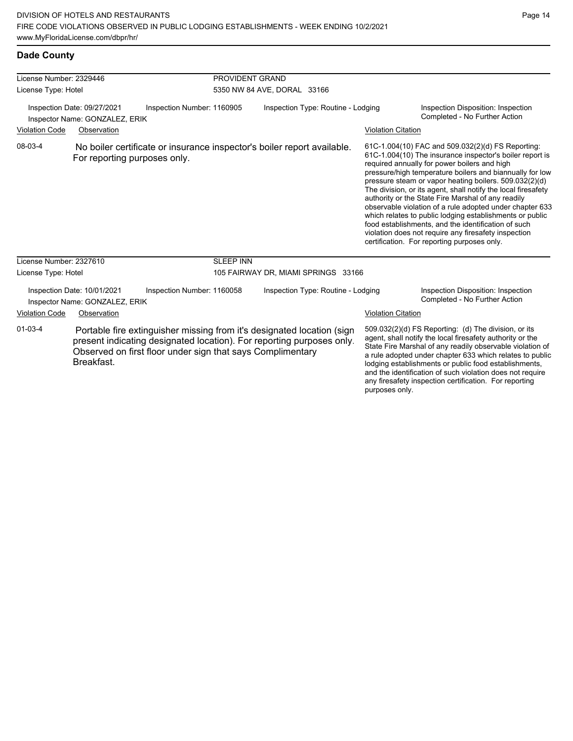**Dade County**

| License Number: 2329446                                       | PROVIDENT GRAND                                                                                                                                                                                               |                                                                                                                                                                                                                                                                                                                                                                                                                                                                                                                                                                                                                                                                                                  |
|---------------------------------------------------------------|---------------------------------------------------------------------------------------------------------------------------------------------------------------------------------------------------------------|--------------------------------------------------------------------------------------------------------------------------------------------------------------------------------------------------------------------------------------------------------------------------------------------------------------------------------------------------------------------------------------------------------------------------------------------------------------------------------------------------------------------------------------------------------------------------------------------------------------------------------------------------------------------------------------------------|
| License Type: Hotel                                           | 5350 NW 84 AVE, DORAL 33166                                                                                                                                                                                   |                                                                                                                                                                                                                                                                                                                                                                                                                                                                                                                                                                                                                                                                                                  |
| Inspection Date: 09/27/2021<br>Inspector Name: GONZALEZ, ERIK | Inspection Number: 1160905<br>Inspection Type: Routine - Lodging                                                                                                                                              | Inspection Disposition: Inspection<br>Completed - No Further Action                                                                                                                                                                                                                                                                                                                                                                                                                                                                                                                                                                                                                              |
| <b>Violation Code</b><br>Observation                          |                                                                                                                                                                                                               | <b>Violation Citation</b>                                                                                                                                                                                                                                                                                                                                                                                                                                                                                                                                                                                                                                                                        |
| 08-03-4<br>For reporting purposes only.                       | No boiler certificate or insurance inspector's boiler report available.                                                                                                                                       | 61C-1.004(10) FAC and 509.032(2)(d) FS Reporting:<br>61C-1.004(10) The insurance inspector's boiler report is<br>required annually for power boilers and high<br>pressure/high temperature boilers and biannually for low<br>pressure steam or vapor heating boilers. 509.032(2)(d)<br>The division, or its agent, shall notify the local firesafety<br>authority or the State Fire Marshal of any readily<br>observable violation of a rule adopted under chapter 633<br>which relates to public lodging establishments or public<br>food establishments, and the identification of such<br>violation does not require any firesafety inspection<br>certification. For reporting purposes only. |
| License Number: 2327610                                       | <b>SLEEP INN</b>                                                                                                                                                                                              |                                                                                                                                                                                                                                                                                                                                                                                                                                                                                                                                                                                                                                                                                                  |
| License Type: Hotel                                           | 105 FAIRWAY DR, MIAMI SPRINGS 33166                                                                                                                                                                           |                                                                                                                                                                                                                                                                                                                                                                                                                                                                                                                                                                                                                                                                                                  |
| Inspection Date: 10/01/2021<br>Inspector Name: GONZALEZ, ERIK | Inspection Number: 1160058<br>Inspection Type: Routine - Lodging                                                                                                                                              | Inspection Disposition: Inspection<br>Completed - No Further Action                                                                                                                                                                                                                                                                                                                                                                                                                                                                                                                                                                                                                              |
| <b>Violation Code</b><br>Observation                          |                                                                                                                                                                                                               | <b>Violation Citation</b>                                                                                                                                                                                                                                                                                                                                                                                                                                                                                                                                                                                                                                                                        |
| 01-03-4<br>Breakfast.                                         | Portable fire extinguisher missing from it's designated location (sign<br>present indicating designated location). For reporting purposes only.<br>Observed on first floor under sign that says Complimentary | 509.032(2)(d) FS Reporting: (d) The division, or its<br>agent, shall notify the local firesafety authority or the<br>State Fire Marshal of any readily observable violation of<br>a rule adopted under chapter 633 which relates to public<br>lodging establishments or public food establishments,<br>and the identification of such violation does not require<br>any firesafety inspection certification. For reporting                                                                                                                                                                                                                                                                       |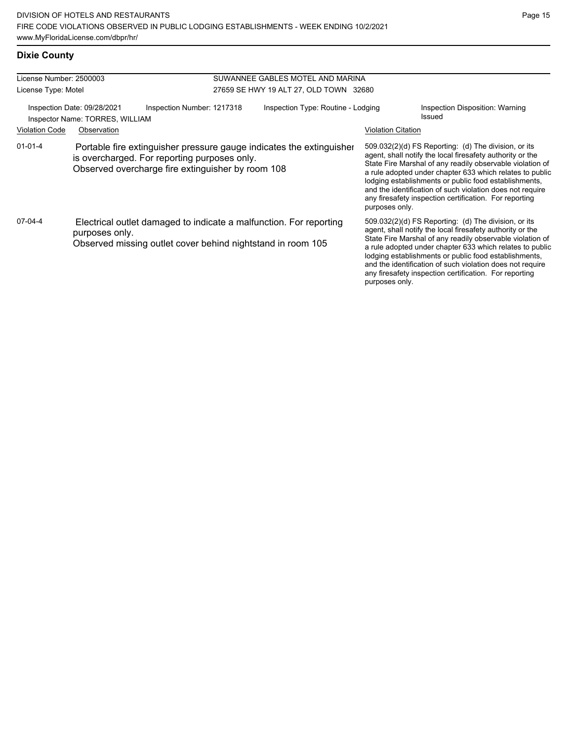# **Dixie County**

| License Number: 2500003 |                                                                                                                                                                           |                            | SUWANNEE GABLES MOTEL AND MARINA       |                           |                                                                                                                                                                                                                                                                                                                                                                                                                            |  |  |
|-------------------------|---------------------------------------------------------------------------------------------------------------------------------------------------------------------------|----------------------------|----------------------------------------|---------------------------|----------------------------------------------------------------------------------------------------------------------------------------------------------------------------------------------------------------------------------------------------------------------------------------------------------------------------------------------------------------------------------------------------------------------------|--|--|
| License Type: Motel     |                                                                                                                                                                           |                            | 27659 SE HWY 19 ALT 27, OLD TOWN 32680 |                           |                                                                                                                                                                                                                                                                                                                                                                                                                            |  |  |
| <b>Violation Code</b>   | Inspection Date: 09/28/2021<br>Inspector Name: TORRES, WILLIAM<br>Observation                                                                                             | Inspection Number: 1217318 | Inspection Type: Routine - Lodging     | <b>Violation Citation</b> | Inspection Disposition: Warning<br>Issued                                                                                                                                                                                                                                                                                                                                                                                  |  |  |
|                         |                                                                                                                                                                           |                            |                                        |                           |                                                                                                                                                                                                                                                                                                                                                                                                                            |  |  |
| $01 - 01 - 4$           | Portable fire extinguisher pressure gauge indicates the extinguisher<br>is overcharged. For reporting purposes only.<br>Observed overcharge fire extinguisher by room 108 |                            |                                        | purposes only.            | 509.032(2)(d) FS Reporting: (d) The division, or its<br>agent, shall notify the local firesafety authority or the<br>State Fire Marshal of any readily observable violation of<br>a rule adopted under chapter 633 which relates to public<br>lodging establishments or public food establishments,<br>and the identification of such violation does not require<br>any firesafety inspection certification. For reporting |  |  |
| 07-04-4                 | Electrical outlet damaged to indicate a malfunction. For reporting<br>purposes only.<br>Observed missing outlet cover behind nightstand in room 105                       |                            |                                        | purposes only.            | 509.032(2)(d) FS Reporting: (d) The division, or its<br>agent, shall notify the local firesafety authority or the<br>State Fire Marshal of any readily observable violation of<br>a rule adopted under chapter 633 which relates to public<br>lodging establishments or public food establishments,<br>and the identification of such violation does not require<br>any firesafety inspection certification. For reporting |  |  |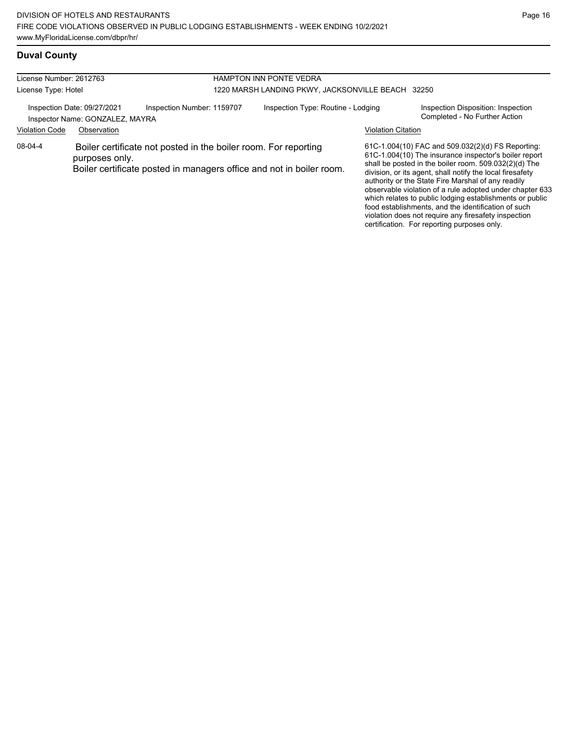## **Duval County**

| License Number: 2612763                                        |                |                                                                                                                                         | <b>HAMPTON INN PONTE VEDRA</b>                    |                           |                                                                                                                                                                                                                                                                                                                                                                                                                                                                                                                               |  |  |
|----------------------------------------------------------------|----------------|-----------------------------------------------------------------------------------------------------------------------------------------|---------------------------------------------------|---------------------------|-------------------------------------------------------------------------------------------------------------------------------------------------------------------------------------------------------------------------------------------------------------------------------------------------------------------------------------------------------------------------------------------------------------------------------------------------------------------------------------------------------------------------------|--|--|
| License Type: Hotel                                            |                |                                                                                                                                         | 1220 MARSH LANDING PKWY, JACKSONVILLE BEACH 32250 |                           |                                                                                                                                                                                                                                                                                                                                                                                                                                                                                                                               |  |  |
| Inspection Date: 09/27/2021<br>Inspector Name: GONZALEZ, MAYRA |                | Inspection Number: 1159707                                                                                                              | Inspection Type: Routine - Lodging                |                           | Inspection Disposition: Inspection<br>Completed - No Further Action                                                                                                                                                                                                                                                                                                                                                                                                                                                           |  |  |
| <b>Violation Code</b>                                          | Observation    |                                                                                                                                         |                                                   | <b>Violation Citation</b> |                                                                                                                                                                                                                                                                                                                                                                                                                                                                                                                               |  |  |
| 08-04-4                                                        | purposes only. | Boiler certificate not posted in the boiler room. For reporting<br>Boiler certificate posted in managers office and not in boiler room. |                                                   |                           | 61C-1.004(10) FAC and 509.032(2)(d) FS Reporting:<br>61C-1.004(10) The insurance inspector's boiler report<br>shall be posted in the boiler room. 509.032(2)(d) The<br>division, or its agent, shall notify the local firesafety<br>authority or the State Fire Marshal of any readily<br>observable violation of a rule adopted under chapter 633<br>which relates to public lodging establishments or public<br>food establishments, and the identification of such<br>violation does not require any firesafety inspection |  |  |

certification. For reporting purposes only.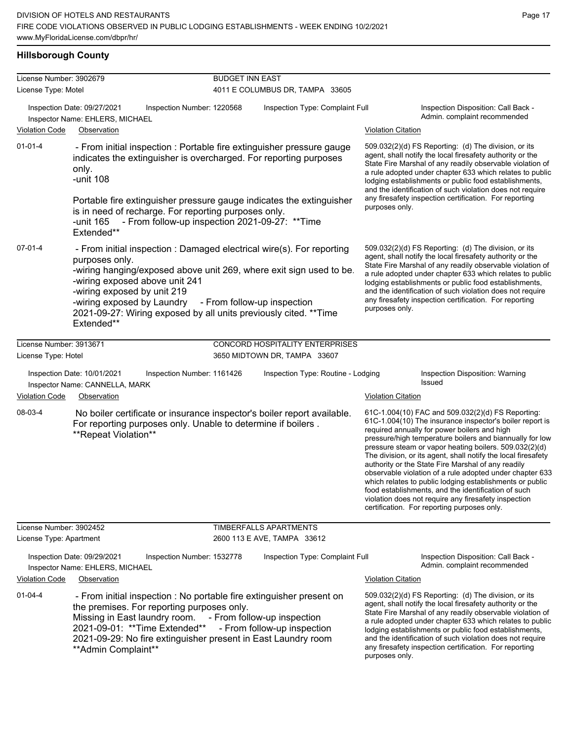## **Hillsborough County**

| License Number: 3902679                                                                                                                                                                                                                   |                                                                                                                                                                                                                                                                                                                                                                              | <b>BUDGET INN EAST</b> |                                                                      |                           |                                                                                                                                                                                                                                                                                                                                                                                                                                                                                                                                                                                                                                                                                                  |
|-------------------------------------------------------------------------------------------------------------------------------------------------------------------------------------------------------------------------------------------|------------------------------------------------------------------------------------------------------------------------------------------------------------------------------------------------------------------------------------------------------------------------------------------------------------------------------------------------------------------------------|------------------------|----------------------------------------------------------------------|---------------------------|--------------------------------------------------------------------------------------------------------------------------------------------------------------------------------------------------------------------------------------------------------------------------------------------------------------------------------------------------------------------------------------------------------------------------------------------------------------------------------------------------------------------------------------------------------------------------------------------------------------------------------------------------------------------------------------------------|
| License Type: Motel                                                                                                                                                                                                                       |                                                                                                                                                                                                                                                                                                                                                                              |                        | 4011 E COLUMBUS DR, TAMPA 33605                                      |                           |                                                                                                                                                                                                                                                                                                                                                                                                                                                                                                                                                                                                                                                                                                  |
|                                                                                                                                                                                                                                           | Inspection Date: 09/27/2021<br>Inspection Number: 1220568<br>Inspector Name: EHLERS, MICHAEL                                                                                                                                                                                                                                                                                 |                        | Inspection Type: Complaint Full                                      |                           | Inspection Disposition: Call Back -<br>Admin. complaint recommended                                                                                                                                                                                                                                                                                                                                                                                                                                                                                                                                                                                                                              |
| <b>Violation Code</b>                                                                                                                                                                                                                     | Observation                                                                                                                                                                                                                                                                                                                                                                  |                        |                                                                      | <b>Violation Citation</b> |                                                                                                                                                                                                                                                                                                                                                                                                                                                                                                                                                                                                                                                                                                  |
| $01 - 01 - 4$<br>- From initial inspection : Portable fire extinguisher pressure gauge<br>indicates the extinguisher is overcharged. For reporting purposes<br>only.<br>-unit 108<br>is in need of recharge. For reporting purposes only. |                                                                                                                                                                                                                                                                                                                                                                              |                        | Portable fire extinguisher pressure gauge indicates the extinguisher |                           | 509.032(2)(d) FS Reporting: (d) The division, or its<br>agent, shall notify the local firesafety authority or the<br>State Fire Marshal of any readily observable violation of<br>a rule adopted under chapter 633 which relates to public<br>lodging establishments or public food establishments,<br>and the identification of such violation does not require<br>any firesafety inspection certification. For reporting                                                                                                                                                                                                                                                                       |
|                                                                                                                                                                                                                                           | - From follow-up inspection 2021-09-27: ** Time<br>-unit 165<br>Extended**                                                                                                                                                                                                                                                                                                   |                        |                                                                      |                           |                                                                                                                                                                                                                                                                                                                                                                                                                                                                                                                                                                                                                                                                                                  |
| 07-01-4                                                                                                                                                                                                                                   | - From initial inspection : Damaged electrical wire(s). For reporting<br>purposes only.<br>-wiring hanging/exposed above unit 269, where exit sign used to be.<br>-wiring exposed above unit 241<br>-wiring exposed by unit 219<br>-wiring exposed by Laundry - From follow-up inspection<br>2021-09-27: Wiring exposed by all units previously cited. ** Time<br>Extended** |                        |                                                                      | purposes only.            | 509.032(2)(d) FS Reporting (d) The division, or its<br>agent, shall notify the local firesafety authority or the<br>State Fire Marshal of any readily observable violation of<br>a rule adopted under chapter 633 which relates to public<br>lodging establishments or public food establishments,<br>and the identification of such violation does not require<br>any firesafety inspection certification. For reporting                                                                                                                                                                                                                                                                        |
| License Number: 3913671                                                                                                                                                                                                                   |                                                                                                                                                                                                                                                                                                                                                                              |                        | CONCORD HOSPITALITY ENTERPRISES                                      |                           |                                                                                                                                                                                                                                                                                                                                                                                                                                                                                                                                                                                                                                                                                                  |
| License Type: Hotel                                                                                                                                                                                                                       |                                                                                                                                                                                                                                                                                                                                                                              |                        | 3650 MIDTOWN DR, TAMPA 33607                                         |                           |                                                                                                                                                                                                                                                                                                                                                                                                                                                                                                                                                                                                                                                                                                  |
| <b>Violation Code</b>                                                                                                                                                                                                                     | Inspection Date: 10/01/2021<br>Inspection Number: 1161426<br>Inspector Name: CANNELLA, MARK<br>Observation                                                                                                                                                                                                                                                                   |                        | Inspection Type: Routine - Lodging                                   | <b>Violation Citation</b> | Inspection Disposition: Warning<br>Issued                                                                                                                                                                                                                                                                                                                                                                                                                                                                                                                                                                                                                                                        |
|                                                                                                                                                                                                                                           |                                                                                                                                                                                                                                                                                                                                                                              |                        |                                                                      |                           |                                                                                                                                                                                                                                                                                                                                                                                                                                                                                                                                                                                                                                                                                                  |
| 08-03-4                                                                                                                                                                                                                                   | No boiler certificate or insurance inspector's boiler report available.<br>For reporting purposes only. Unable to determine if boilers.<br>**Repeat Violation**                                                                                                                                                                                                              |                        |                                                                      |                           | 61C-1.004(10) FAC and 509.032(2)(d) FS Reporting:<br>61C-1.004(10) The insurance inspector's boiler report is<br>required annually for power boilers and high<br>pressure/high temperature boilers and biannually for low<br>pressure steam or vapor heating boilers. 509.032(2)(d)<br>The division, or its agent, shall notify the local firesafety<br>authority or the State Fire Marshal of any readily<br>observable violation of a rule adopted under chapter 633<br>which relates to public lodging establishments or public<br>food establishments, and the identification of such<br>violation does not require any firesafety inspection<br>certification. For reporting purposes only. |
| License Number: 3902452                                                                                                                                                                                                                   |                                                                                                                                                                                                                                                                                                                                                                              |                        | TIMBERFALLS APARTMENTS                                               |                           |                                                                                                                                                                                                                                                                                                                                                                                                                                                                                                                                                                                                                                                                                                  |
| License Type: Apartment                                                                                                                                                                                                                   |                                                                                                                                                                                                                                                                                                                                                                              |                        | 2600 113 E AVE, TAMPA 33612                                          |                           |                                                                                                                                                                                                                                                                                                                                                                                                                                                                                                                                                                                                                                                                                                  |
|                                                                                                                                                                                                                                           | Inspection Date: 09/29/2021<br>Inspection Number: 1532778<br>Inspector Name: EHLERS, MICHAEL                                                                                                                                                                                                                                                                                 |                        | Inspection Type: Complaint Full                                      |                           | Inspection Disposition: Call Back -<br>Admin. complaint recommended                                                                                                                                                                                                                                                                                                                                                                                                                                                                                                                                                                                                                              |
| <b>Violation Code</b>                                                                                                                                                                                                                     | Observation                                                                                                                                                                                                                                                                                                                                                                  |                        |                                                                      | <b>Violation Citation</b> |                                                                                                                                                                                                                                                                                                                                                                                                                                                                                                                                                                                                                                                                                                  |
| $01 - 04 - 4$                                                                                                                                                                                                                             | - From initial inspection : No portable fire extinguisher present on<br>the premises. For reporting purposes only.<br>Missing in East laundry room.<br>2021-09-01: ** Time Extended**<br>2021-09-29: No fire extinguisher present in East Laundry room<br>** Admin Complaint**                                                                                               |                        | - From follow-up inspection<br>- From follow-up inspection           | purposes only.            | 509.032(2)(d) FS Reporting: (d) The division, or its<br>agent, shall notify the local firesafety authority or the<br>State Fire Marshal of any readily observable violation of<br>a rule adopted under chapter 633 which relates to public<br>lodging establishments or public food establishments,<br>and the identification of such violation does not require<br>any firesafety inspection certification. For reporting                                                                                                                                                                                                                                                                       |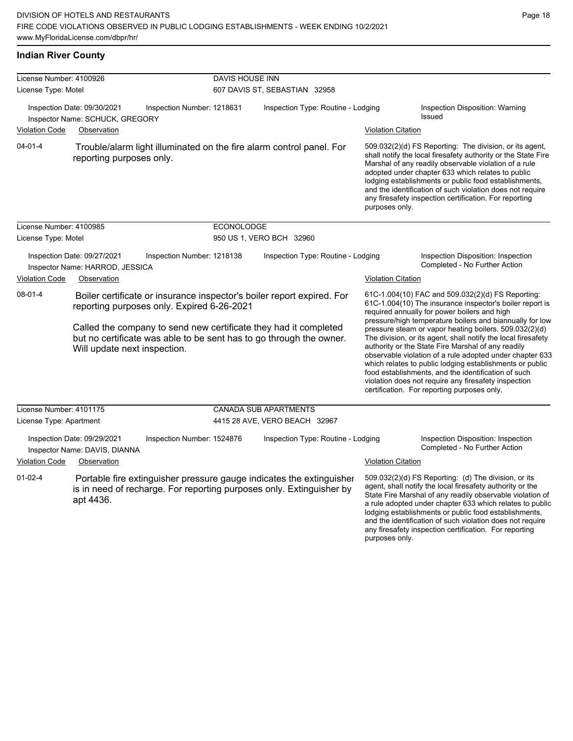## **Indian River County**

| License Number: 4100926                                                                                                                                                                                                                                                                                    |                                                                                                                                                           | DAVIS HOUSE INN   |                                    |                           |                                                                                                                                                                                                                                                                                                                                                                                                                                                                                                                                                                                                                                                                                                  |  |  |
|------------------------------------------------------------------------------------------------------------------------------------------------------------------------------------------------------------------------------------------------------------------------------------------------------------|-----------------------------------------------------------------------------------------------------------------------------------------------------------|-------------------|------------------------------------|---------------------------|--------------------------------------------------------------------------------------------------------------------------------------------------------------------------------------------------------------------------------------------------------------------------------------------------------------------------------------------------------------------------------------------------------------------------------------------------------------------------------------------------------------------------------------------------------------------------------------------------------------------------------------------------------------------------------------------------|--|--|
| License Type: Motel                                                                                                                                                                                                                                                                                        |                                                                                                                                                           |                   | 607 DAVIS ST, SEBASTIAN 32958      |                           |                                                                                                                                                                                                                                                                                                                                                                                                                                                                                                                                                                                                                                                                                                  |  |  |
| <b>Violation Code</b>                                                                                                                                                                                                                                                                                      | Inspection Date: 09/30/2021<br>Inspection Number: 1218631<br>Inspector Name: SCHUCK, GREGORY<br>Observation                                               |                   | Inspection Type: Routine - Lodging | <b>Violation Citation</b> | Inspection Disposition: Warning<br>Issued                                                                                                                                                                                                                                                                                                                                                                                                                                                                                                                                                                                                                                                        |  |  |
|                                                                                                                                                                                                                                                                                                            |                                                                                                                                                           |                   |                                    |                           |                                                                                                                                                                                                                                                                                                                                                                                                                                                                                                                                                                                                                                                                                                  |  |  |
| $04 - 01 - 4$                                                                                                                                                                                                                                                                                              | Trouble/alarm light illuminated on the fire alarm control panel. For<br>reporting purposes only.                                                          |                   |                                    | purposes only.            | 509.032(2)(d) FS Reporting: The division, or its agent,<br>shall notify the local firesafety authority or the State Fire<br>Marshal of any readily observable violation of a rule<br>adopted under chapter 633 which relates to public<br>lodging establishments or public food establishments,<br>and the identification of such violation does not require<br>any firesafety inspection certification. For reporting                                                                                                                                                                                                                                                                           |  |  |
| License Number: 4100985                                                                                                                                                                                                                                                                                    |                                                                                                                                                           | <b>ECONOLODGE</b> |                                    |                           |                                                                                                                                                                                                                                                                                                                                                                                                                                                                                                                                                                                                                                                                                                  |  |  |
| License Type: Motel                                                                                                                                                                                                                                                                                        |                                                                                                                                                           |                   | 950 US 1, VERO BCH 32960           |                           |                                                                                                                                                                                                                                                                                                                                                                                                                                                                                                                                                                                                                                                                                                  |  |  |
|                                                                                                                                                                                                                                                                                                            | Inspection Date: 09/27/2021<br>Inspection Number: 1218138<br>Inspector Name: HARROD, JESSICA                                                              |                   | Inspection Type: Routine - Lodging |                           | Inspection Disposition: Inspection<br>Completed - No Further Action                                                                                                                                                                                                                                                                                                                                                                                                                                                                                                                                                                                                                              |  |  |
| <b>Violation Code</b>                                                                                                                                                                                                                                                                                      | Observation                                                                                                                                               |                   |                                    | <b>Violation Citation</b> |                                                                                                                                                                                                                                                                                                                                                                                                                                                                                                                                                                                                                                                                                                  |  |  |
| 08-01-4<br>Boiler certificate or insurance inspector's boiler report expired. For<br>reporting purposes only. Expired 6-26-2021<br>Called the company to send new certificate they had it completed<br>but no certificate was able to be sent has to go through the owner.<br>Will update next inspection. |                                                                                                                                                           |                   |                                    |                           | 61C-1.004(10) FAC and 509.032(2)(d) FS Reporting:<br>61C-1.004(10) The insurance inspector's boiler report is<br>required annually for power boilers and high<br>pressure/high temperature boilers and biannually for low<br>pressure steam or vapor heating boilers. 509.032(2)(d)<br>The division, or its agent, shall notify the local firesafety<br>authority or the State Fire Marshal of any readily<br>observable violation of a rule adopted under chapter 633<br>which relates to public lodging establishments or public<br>food establishments, and the identification of such<br>violation does not require any firesafety inspection<br>certification. For reporting purposes only. |  |  |
| License Number: 4101175                                                                                                                                                                                                                                                                                    |                                                                                                                                                           |                   | <b>CANADA SUB APARTMENTS</b>       |                           |                                                                                                                                                                                                                                                                                                                                                                                                                                                                                                                                                                                                                                                                                                  |  |  |
| License Type: Apartment                                                                                                                                                                                                                                                                                    |                                                                                                                                                           |                   | 4415 28 AVE, VERO BEACH 32967      |                           |                                                                                                                                                                                                                                                                                                                                                                                                                                                                                                                                                                                                                                                                                                  |  |  |
|                                                                                                                                                                                                                                                                                                            | Inspection Date: 09/29/2021<br>Inspection Number: 1524876<br>Inspector Name: DAVIS, DIANNA                                                                |                   | Inspection Type: Routine - Lodging |                           | Inspection Disposition: Inspection<br>Completed - No Further Action                                                                                                                                                                                                                                                                                                                                                                                                                                                                                                                                                                                                                              |  |  |
| <b>Violation Code</b>                                                                                                                                                                                                                                                                                      | Observation                                                                                                                                               |                   |                                    | <b>Violation Citation</b> |                                                                                                                                                                                                                                                                                                                                                                                                                                                                                                                                                                                                                                                                                                  |  |  |
| $01-02-4$                                                                                                                                                                                                                                                                                                  | Portable fire extinguisher pressure gauge indicates the extinguisher<br>is in need of recharge. For reporting purposes only. Extinguisher by<br>apt 4436. |                   |                                    | purposes only.            | 509.032(2)(d) FS Reporting: (d) The division, or its<br>agent, shall notify the local firesafety authority or the<br>State Fire Marshal of any readily observable violation of<br>a rule adopted under chapter 633 which relates to public<br>lodging establishments or public food establishments,<br>and the identification of such violation does not require<br>any firesafety inspection certification. For reporting                                                                                                                                                                                                                                                                       |  |  |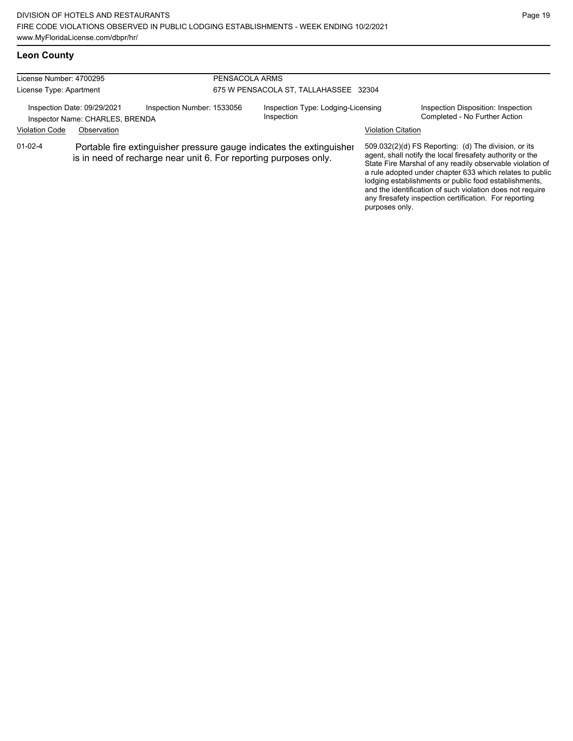# **Leon County**

| License Number: 4700295<br>License Type: Apartment             |                                                                                                                                          |                            | PENSACOLA ARMS<br>675 W PENSACOLA ST, TALLAHASSEE 32304 |                           |                                                                                                                                                                                                                                                                                                                                                                                                                            |  |  |
|----------------------------------------------------------------|------------------------------------------------------------------------------------------------------------------------------------------|----------------------------|---------------------------------------------------------|---------------------------|----------------------------------------------------------------------------------------------------------------------------------------------------------------------------------------------------------------------------------------------------------------------------------------------------------------------------------------------------------------------------------------------------------------------------|--|--|
| Inspection Date: 09/29/2021<br>Inspector Name: CHARLES, BRENDA |                                                                                                                                          | Inspection Number: 1533056 | Inspection Type: Lodging-Licensing<br>Inspection        |                           | Inspection Disposition: Inspection<br>Completed - No Further Action                                                                                                                                                                                                                                                                                                                                                        |  |  |
| <b>Violation Code</b>                                          | Observation                                                                                                                              |                            |                                                         | <b>Violation Citation</b> |                                                                                                                                                                                                                                                                                                                                                                                                                            |  |  |
| $01 - 02 - 4$                                                  | Portable fire extinguisher pressure gauge indicates the extinguisher<br>is in need of recharge near unit 6. For reporting purposes only. |                            |                                                         |                           | 509.032(2)(d) FS Reporting: (d) The division, or its<br>agent, shall notify the local firesafety authority or the<br>State Fire Marshal of any readily observable violation of<br>a rule adopted under chapter 633 which relates to public<br>lodging establishments or public food establishments,<br>and the identification of such violation does not require<br>any firesafety inspection certification. For reporting |  |  |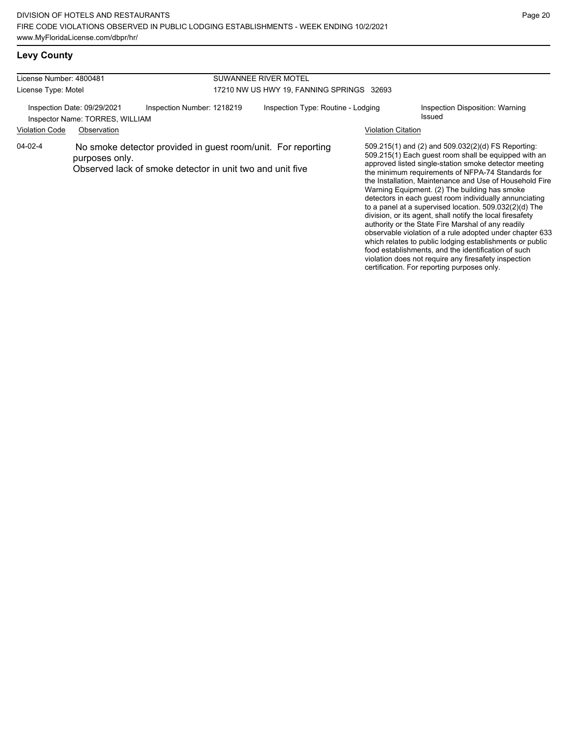violation does not require any firesafety inspection certification. For reporting purposes only.

## **Levy County**

| License Number: 4800481                                                                      |                |                                                                                                                           | SUWANNEE RIVER MOTEL |                                           |                    |                                                                                                                                                                                                                                                                                                                                                                                                                                                                                                                                                                                                                                                                                                                                                            |  |  |
|----------------------------------------------------------------------------------------------|----------------|---------------------------------------------------------------------------------------------------------------------------|----------------------|-------------------------------------------|--------------------|------------------------------------------------------------------------------------------------------------------------------------------------------------------------------------------------------------------------------------------------------------------------------------------------------------------------------------------------------------------------------------------------------------------------------------------------------------------------------------------------------------------------------------------------------------------------------------------------------------------------------------------------------------------------------------------------------------------------------------------------------------|--|--|
| License Type: Motel                                                                          |                |                                                                                                                           |                      | 17210 NW US HWY 19, FANNING SPRINGS 32693 |                    |                                                                                                                                                                                                                                                                                                                                                                                                                                                                                                                                                                                                                                                                                                                                                            |  |  |
| Inspection Number: 1218219<br>Inspection Date: 09/29/2021<br>Inspector Name: TORRES, WILLIAM |                | Inspection Type: Routine - Lodging                                                                                        |                      | Inspection Disposition: Warning<br>Issued |                    |                                                                                                                                                                                                                                                                                                                                                                                                                                                                                                                                                                                                                                                                                                                                                            |  |  |
| <b>Violation Code</b>                                                                        | Observation    |                                                                                                                           |                      |                                           | Violation Citation |                                                                                                                                                                                                                                                                                                                                                                                                                                                                                                                                                                                                                                                                                                                                                            |  |  |
| 04-02-4                                                                                      | purposes only. | No smoke detector provided in guest room/unit. For reporting<br>Observed lack of smoke detector in unit two and unit five |                      |                                           |                    | 509.215(1) and (2) and 509.032(2)(d) FS Reporting:<br>509.215(1) Each guest room shall be equipped with an<br>approved listed single-station smoke detector meeting<br>the minimum requirements of NFPA-74 Standards for<br>the Installation, Maintenance and Use of Household Fire<br>Warning Equipment. (2) The building has smoke<br>detectors in each quest room individually annunciating<br>to a panel at a supervised location. 509.032(2)(d) The<br>division, or its agent, shall notify the local firesafety<br>authority or the State Fire Marshal of any readily<br>observable violation of a rule adopted under chapter 633<br>which relates to public lodging establishments or public<br>food establishments, and the identification of such |  |  |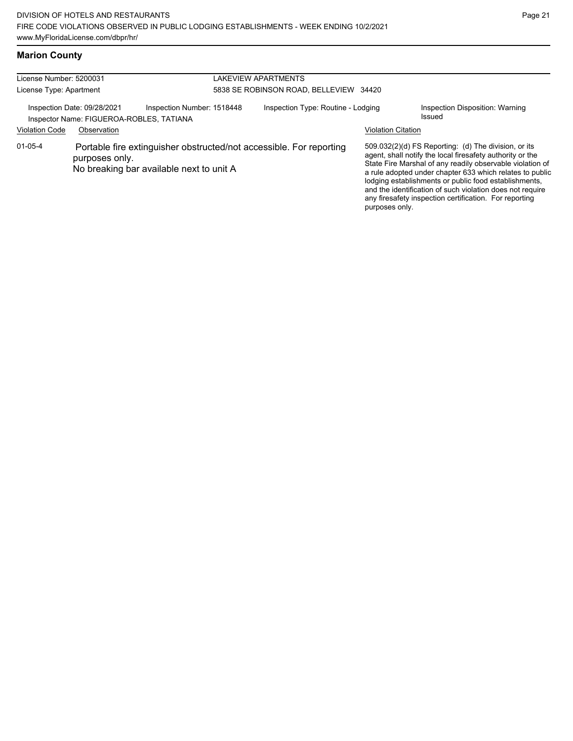## **Marion County**

| License Number: 5200031 |                                                                         |                                                                                                                 | LAKEVIEW APARTMENTS                    |                           |                                                                                                                                                                                                                                                                                                                                                                                                                            |
|-------------------------|-------------------------------------------------------------------------|-----------------------------------------------------------------------------------------------------------------|----------------------------------------|---------------------------|----------------------------------------------------------------------------------------------------------------------------------------------------------------------------------------------------------------------------------------------------------------------------------------------------------------------------------------------------------------------------------------------------------------------------|
|                         |                                                                         |                                                                                                                 |                                        |                           |                                                                                                                                                                                                                                                                                                                                                                                                                            |
| License Type: Apartment |                                                                         |                                                                                                                 | 5838 SE ROBINSON ROAD, BELLEVIEW 34420 |                           |                                                                                                                                                                                                                                                                                                                                                                                                                            |
|                         | Inspection Date: 09/28/2021<br>Inspector Name: FIGUEROA-ROBLES, TATIANA | Inspection Number: 1518448                                                                                      | Inspection Type: Routine - Lodging     |                           | Inspection Disposition: Warning<br>Issued                                                                                                                                                                                                                                                                                                                                                                                  |
| <b>Violation Code</b>   | Observation                                                             |                                                                                                                 |                                        | <b>Violation Citation</b> |                                                                                                                                                                                                                                                                                                                                                                                                                            |
| $01 - 05 - 4$           | purposes only.                                                          | Portable fire extinguisher obstructed/not accessible. For reporting<br>No breaking bar available next to unit A |                                        | purposes only.            | 509.032(2)(d) FS Reporting: (d) The division, or its<br>agent, shall notify the local firesafety authority or the<br>State Fire Marshal of any readily observable violation of<br>a rule adopted under chapter 633 which relates to public<br>lodging establishments or public food establishments,<br>and the identification of such violation does not require<br>any firesafety inspection certification. For reporting |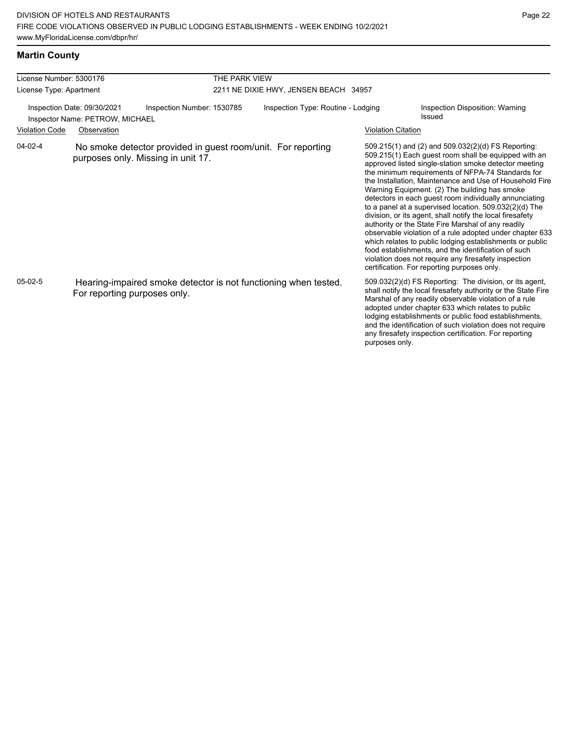## **Martin County**

| License Number: 5300176 |                                                                |                                                                                                    | THE PARK VIEW                         |                           |                                                                                                                                                                                                                                                                                                                                                                                                                                                                                                                                                                                                                                                                                                                                                                                                                                                                   |  |  |  |
|-------------------------|----------------------------------------------------------------|----------------------------------------------------------------------------------------------------|---------------------------------------|---------------------------|-------------------------------------------------------------------------------------------------------------------------------------------------------------------------------------------------------------------------------------------------------------------------------------------------------------------------------------------------------------------------------------------------------------------------------------------------------------------------------------------------------------------------------------------------------------------------------------------------------------------------------------------------------------------------------------------------------------------------------------------------------------------------------------------------------------------------------------------------------------------|--|--|--|
| License Type: Apartment |                                                                |                                                                                                    | 2211 NE DIXIE HWY, JENSEN BEACH 34957 |                           |                                                                                                                                                                                                                                                                                                                                                                                                                                                                                                                                                                                                                                                                                                                                                                                                                                                                   |  |  |  |
|                         | Inspection Date: 09/30/2021<br>Inspector Name: PETROW, MICHAEL | Inspection Number: 1530785                                                                         | Inspection Type: Routine - Lodging    |                           | Inspection Disposition: Warning<br>Issued                                                                                                                                                                                                                                                                                                                                                                                                                                                                                                                                                                                                                                                                                                                                                                                                                         |  |  |  |
| <b>Violation Code</b>   | Observation                                                    |                                                                                                    |                                       | <b>Violation Citation</b> |                                                                                                                                                                                                                                                                                                                                                                                                                                                                                                                                                                                                                                                                                                                                                                                                                                                                   |  |  |  |
| $04-02-4$               |                                                                | No smoke detector provided in guest room/unit. For reporting<br>purposes only. Missing in unit 17. |                                       |                           | 509.215(1) and (2) and 509.032(2)(d) FS Reporting:<br>509.215(1) Each guest room shall be equipped with an<br>approved listed single-station smoke detector meeting<br>the minimum requirements of NFPA-74 Standards for<br>the Installation, Maintenance and Use of Household Fire<br>Warning Equipment. (2) The building has smoke<br>detectors in each quest room individually annunciating<br>to a panel at a supervised location. 509.032(2)(d) The<br>division, or its agent, shall notify the local firesafety<br>authority or the State Fire Marshal of any readily<br>observable violation of a rule adopted under chapter 633<br>which relates to public lodging establishments or public<br>food establishments, and the identification of such<br>violation does not require any firesafety inspection<br>certification. For reporting purposes only. |  |  |  |
| $05-02-5$               | For reporting purposes only.                                   | Hearing-impaired smoke detector is not functioning when tested.                                    |                                       | purposes only.            | 509.032(2)(d) FS Reporting: The division, or its agent,<br>shall notify the local firesafety authority or the State Fire<br>Marshal of any readily observable violation of a rule<br>adopted under chapter 633 which relates to public<br>lodging establishments or public food establishments,<br>and the identification of such violation does not require<br>any firesafety inspection certification. For reporting                                                                                                                                                                                                                                                                                                                                                                                                                                            |  |  |  |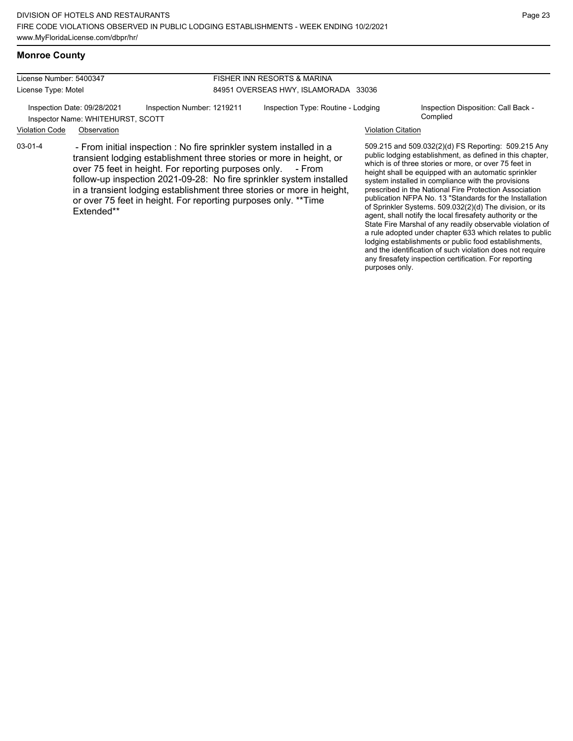# **Monroe County**

Extended\*\*

| License Number: 5400347 |                                                                  |                                                                                                                                                                                                                                                                                                                                                                                                                             | FISHER INN RESORTS & MARINA          |                           |                                                                                                                                                                                                                                                                                                                                                                                                                                                                                                                                                                                                                                                                                                                                                                                                                                                                                                       |  |  |
|-------------------------|------------------------------------------------------------------|-----------------------------------------------------------------------------------------------------------------------------------------------------------------------------------------------------------------------------------------------------------------------------------------------------------------------------------------------------------------------------------------------------------------------------|--------------------------------------|---------------------------|-------------------------------------------------------------------------------------------------------------------------------------------------------------------------------------------------------------------------------------------------------------------------------------------------------------------------------------------------------------------------------------------------------------------------------------------------------------------------------------------------------------------------------------------------------------------------------------------------------------------------------------------------------------------------------------------------------------------------------------------------------------------------------------------------------------------------------------------------------------------------------------------------------|--|--|
| License Type: Motel     |                                                                  |                                                                                                                                                                                                                                                                                                                                                                                                                             | 84951 OVERSEAS HWY, ISLAMORADA 33036 |                           |                                                                                                                                                                                                                                                                                                                                                                                                                                                                                                                                                                                                                                                                                                                                                                                                                                                                                                       |  |  |
|                         | Inspection Date: 09/28/2021<br>Inspector Name: WHITEHURST, SCOTT | Inspection Number: 1219211                                                                                                                                                                                                                                                                                                                                                                                                  | Inspection Type: Routine - Lodging   |                           | Inspection Disposition: Call Back -<br>Complied                                                                                                                                                                                                                                                                                                                                                                                                                                                                                                                                                                                                                                                                                                                                                                                                                                                       |  |  |
| <b>Violation Code</b>   | Observation                                                      |                                                                                                                                                                                                                                                                                                                                                                                                                             |                                      | <b>Violation Citation</b> |                                                                                                                                                                                                                                                                                                                                                                                                                                                                                                                                                                                                                                                                                                                                                                                                                                                                                                       |  |  |
| $03-01-4$               |                                                                  | - From initial inspection : No fire sprinkler system installed in a<br>transient lodging establishment three stories or more in height, or<br>over 75 feet in height. For reporting purposes only. - From<br>follow-up inspection 2021-09-28: No fire sprinkler system installed<br>in a transient lodging establishment three stories or more in height,<br>or over 75 feet in height. For reporting purposes only. **Time |                                      |                           | 509.215 and 509.032(2)(d) FS Reporting: 509.215 Any<br>public lodging establishment, as defined in this chapter,<br>which is of three stories or more, or over 75 feet in<br>height shall be equipped with an automatic sprinkler<br>system installed in compliance with the provisions<br>prescribed in the National Fire Protection Association<br>publication NFPA No. 13 "Standards for the Installation<br>$\mathsf{F} \circ \mathsf{S} \circ \mathsf{S} \circ \mathsf{S} \circ \mathsf{S} \circ \mathsf{S} \circ \mathsf{S} \circ \mathsf{S} \circ \mathsf{S} \circ \mathsf{S} \circ \mathsf{S} \circ \mathsf{S} \circ \mathsf{S} \circ \mathsf{S} \circ \mathsf{S} \circ \mathsf{S} \circ \mathsf{S} \circ \mathsf{S} \circ \mathsf{S} \circ \mathsf{S} \circ \mathsf{S} \circ \mathsf{S} \circ \mathsf{S} \circ \mathsf{S} \circ \mathsf{S} \circ \mathsf{S} \circ \mathsf{S} \circ \mathsf{$ |  |  |

publication NFPA No. 13 "Standards for the Installation of Sprinkler Systems. 509.032(2)(d) The division, or its agent, shall notify the local firesafety authority or the State Fire Marshal of any readily observable violation of a rule adopted under chapter 633 which relates to public lodging establishments or public food establishments, and the identification of such violation does not require any firesafety inspection certification. For reporting purposes only.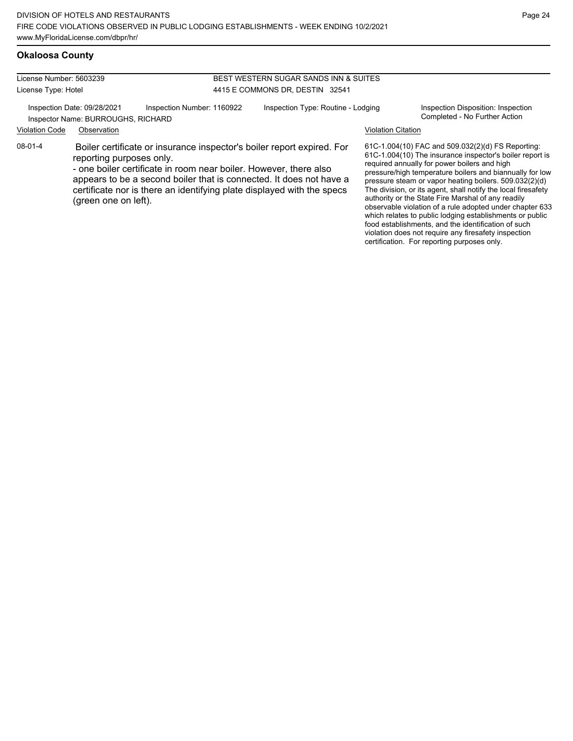#### **Okaloosa County**

License Number: 5603239 License Type: Hotel

#### BEST WESTERN SUGAR SANDS INN & SUITES 4415 E COMMONS DR, DESTIN 32541

Inspection Date: 09/28/2021 Inspection Number: 1160922 Inspection Type: Routine - Lodging Inspection Disposition: Inspection<br>Inspector Name: BURROUGHS, RICHARD Inspector Name: BURROUGHS, RICHARD

Violation Code Observation Violation Citation

08-01-4 Boiler certificate or insurance inspector's boiler report expired. For reporting purposes only.

> - one boiler certificate in room near boiler. However, there also appears to be a second boiler that is connected. It does not have a certificate nor is there an identifying plate displayed with the specs (green one on left).

61C-1.004(10) FAC and 509.032(2)(d) FS Reporting: 61C-1.004(10) The insurance inspector's boiler report is required annually for power boilers and high pressure/high temperature boilers and biannually for low pressure steam or vapor heating boilers. 509.032(2)(d) The division, or its agent, shall notify the local firesafety authority or the State Fire Marshal of any readily observable violation of a rule adopted under chapter 633 which relates to public lodging establishments or public food establishments, and the identification of such violation does not require any firesafety inspection certification. For reporting purposes only.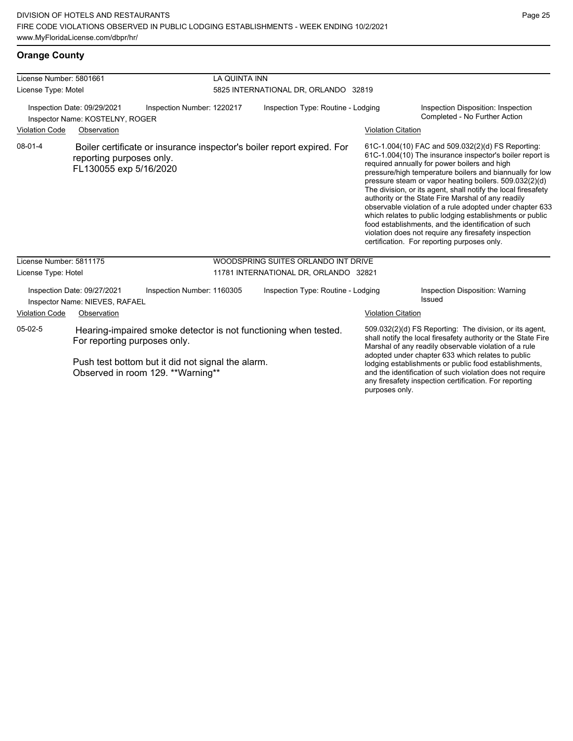| License Number: 5801661<br>License Type: Motel                                               |                                                               |                                                                                        | LA QUINTA INN<br>5825 INTERNATIONAL DR, ORLANDO 32819 |                                                                        |                                                                     |                                                                                                                                                                                                                                                                                                                                                                                                                                                                                                                                                                                                                                                                                                  |  |
|----------------------------------------------------------------------------------------------|---------------------------------------------------------------|----------------------------------------------------------------------------------------|-------------------------------------------------------|------------------------------------------------------------------------|---------------------------------------------------------------------|--------------------------------------------------------------------------------------------------------------------------------------------------------------------------------------------------------------------------------------------------------------------------------------------------------------------------------------------------------------------------------------------------------------------------------------------------------------------------------------------------------------------------------------------------------------------------------------------------------------------------------------------------------------------------------------------------|--|
| Inspection Date: 09/29/2021<br>Inspection Number: 1220217<br>Inspector Name: KOSTELNY, ROGER |                                                               | Inspection Type: Routine - Lodging                                                     |                                                       |                                                                        | Inspection Disposition: Inspection<br>Completed - No Further Action |                                                                                                                                                                                                                                                                                                                                                                                                                                                                                                                                                                                                                                                                                                  |  |
| <b>Violation Code</b>                                                                        | Observation                                                   |                                                                                        |                                                       |                                                                        | <b>Violation Citation</b>                                           |                                                                                                                                                                                                                                                                                                                                                                                                                                                                                                                                                                                                                                                                                                  |  |
| $08 - 01 - 4$                                                                                | reporting purposes only.<br>FL130055 exp 5/16/2020            |                                                                                        |                                                       | Boiler certificate or insurance inspector's boiler report expired. For |                                                                     | 61C-1.004(10) FAC and 509.032(2)(d) FS Reporting:<br>61C-1.004(10) The insurance inspector's boiler report is<br>required annually for power boilers and high<br>pressure/high temperature boilers and biannually for low<br>pressure steam or vapor heating boilers. 509.032(2)(d)<br>The division, or its agent, shall notify the local firesafety<br>authority or the State Fire Marshal of any readily<br>observable violation of a rule adopted under chapter 633<br>which relates to public lodging establishments or public<br>food establishments, and the identification of such<br>violation does not require any firesafety inspection<br>certification. For reporting purposes only. |  |
| License Number: 5811175                                                                      |                                                               |                                                                                        |                                                       | WOODSPRING SUITES ORLANDO INT DRIVE                                    |                                                                     |                                                                                                                                                                                                                                                                                                                                                                                                                                                                                                                                                                                                                                                                                                  |  |
| License Type: Hotel                                                                          |                                                               |                                                                                        |                                                       | 11781 INTERNATIONAL DR, ORLANDO 32821                                  |                                                                     |                                                                                                                                                                                                                                                                                                                                                                                                                                                                                                                                                                                                                                                                                                  |  |
|                                                                                              | Inspection Date: 09/27/2021<br>Inspector Name: NIEVES, RAFAEL | Inspection Number: 1160305                                                             |                                                       | Inspection Type: Routine - Lodging                                     |                                                                     | Inspection Disposition: Warning<br>Issued                                                                                                                                                                                                                                                                                                                                                                                                                                                                                                                                                                                                                                                        |  |
| <b>Violation Code</b>                                                                        | Observation                                                   |                                                                                        |                                                       |                                                                        | <b>Violation Citation</b>                                           |                                                                                                                                                                                                                                                                                                                                                                                                                                                                                                                                                                                                                                                                                                  |  |
| $05-02-5$                                                                                    | For reporting purposes only.                                  |                                                                                        |                                                       | Hearing-impaired smoke detector is not functioning when tested.        |                                                                     | 509.032(2)(d) FS Reporting: The division, or its agent,<br>shall notify the local firesafety authority or the State Fire<br>Marshal of any readily observable violation of a rule                                                                                                                                                                                                                                                                                                                                                                                                                                                                                                                |  |
|                                                                                              |                                                               | Push test bottom but it did not signal the alarm.<br>Observed in room 129. **Warning** |                                                       |                                                                        |                                                                     | adopted under chapter 633 which relates to public<br>lodging establishments or public food establishments,<br>and the identification of such violation does not require<br>any firesafety inspection certification. For reporting                                                                                                                                                                                                                                                                                                                                                                                                                                                                |  |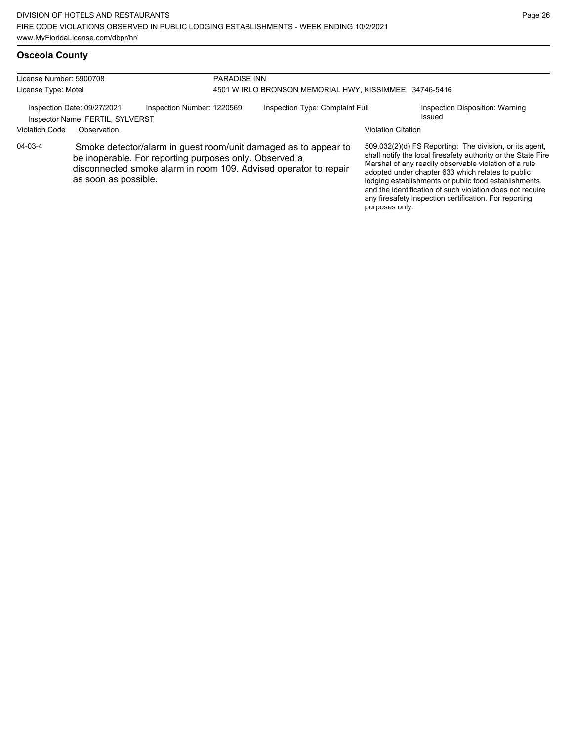# **Osceola County**

| License Number: 5900708 |                                                                 | <b>PARADISE INN</b>                                    |                                                        |                                                                                                                                     |                           |                                                                                                                                                                                                                                                                                                                                                                                                                        |
|-------------------------|-----------------------------------------------------------------|--------------------------------------------------------|--------------------------------------------------------|-------------------------------------------------------------------------------------------------------------------------------------|---------------------------|------------------------------------------------------------------------------------------------------------------------------------------------------------------------------------------------------------------------------------------------------------------------------------------------------------------------------------------------------------------------------------------------------------------------|
| License Type: Motel     |                                                                 |                                                        | 4501 W IRLO BRONSON MEMORIAL HWY, KISSIMMEE 34746-5416 |                                                                                                                                     |                           |                                                                                                                                                                                                                                                                                                                                                                                                                        |
|                         | Inspection Date: 09/27/2021<br>Inspector Name: FERTIL, SYLVERST | Inspection Number: 1220569                             |                                                        | Inspection Type: Complaint Full                                                                                                     |                           | Inspection Disposition: Warning<br>Issued                                                                                                                                                                                                                                                                                                                                                                              |
| <b>Violation Code</b>   | Observation                                                     |                                                        |                                                        |                                                                                                                                     | <b>Violation Citation</b> |                                                                                                                                                                                                                                                                                                                                                                                                                        |
| 04-03-4                 | as soon as possible.                                            | be inoperable. For reporting purposes only. Observed a |                                                        | Smoke detector/alarm in guest room/unit damaged as to appear to<br>disconnected smoke alarm in room 109. Advised operator to repair | purposes only.            | 509.032(2)(d) FS Reporting: The division, or its agent,<br>shall notify the local firesafety authority or the State Fire<br>Marshal of any readily observable violation of a rule<br>adopted under chapter 633 which relates to public<br>lodging establishments or public food establishments,<br>and the identification of such violation does not require<br>any firesafety inspection certification. For reporting |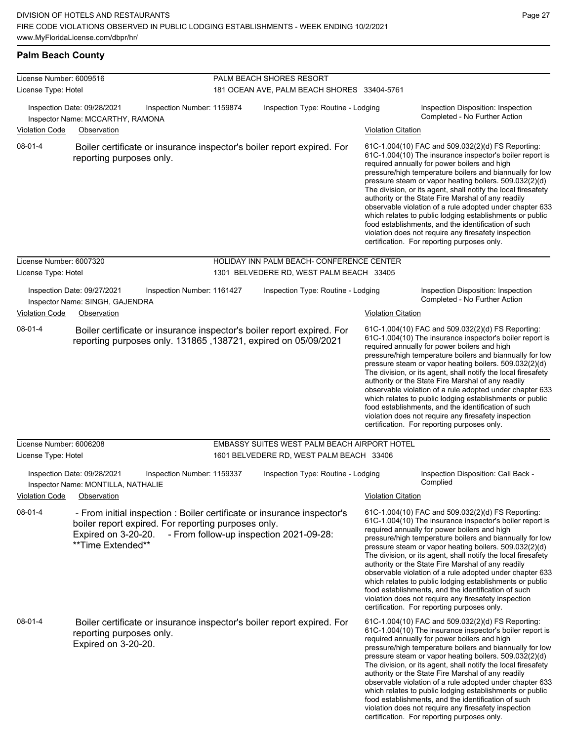| License Number: 6009516 |                                                                                                                                                                            | PALM BEACH SHORES RESORT                     |                           |                                                                                                                                                                                                                                                                                                                                                                                                                                                                                                                                                                                                                                                                                                  |  |
|-------------------------|----------------------------------------------------------------------------------------------------------------------------------------------------------------------------|----------------------------------------------|---------------------------|--------------------------------------------------------------------------------------------------------------------------------------------------------------------------------------------------------------------------------------------------------------------------------------------------------------------------------------------------------------------------------------------------------------------------------------------------------------------------------------------------------------------------------------------------------------------------------------------------------------------------------------------------------------------------------------------------|--|
| License Type: Hotel     |                                                                                                                                                                            | 181 OCEAN AVE, PALM BEACH SHORES 33404-5761  |                           |                                                                                                                                                                                                                                                                                                                                                                                                                                                                                                                                                                                                                                                                                                  |  |
|                         | Inspection Date: 09/28/2021<br>Inspection Number: 1159874<br>Inspector Name: MCCARTHY, RAMONA                                                                              | Inspection Type: Routine - Lodging           |                           | Inspection Disposition: Inspection<br>Completed - No Further Action                                                                                                                                                                                                                                                                                                                                                                                                                                                                                                                                                                                                                              |  |
| <b>Violation Code</b>   | Observation                                                                                                                                                                |                                              | <b>Violation Citation</b> |                                                                                                                                                                                                                                                                                                                                                                                                                                                                                                                                                                                                                                                                                                  |  |
| 08-01-4                 | Boiler certificate or insurance inspector's boiler report expired. For<br>reporting purposes only.                                                                         |                                              |                           | 61C-1.004(10) FAC and 509.032(2)(d) FS Reporting:<br>61C-1.004(10) The insurance inspector's boiler report is<br>required annually for power boilers and high<br>pressure/high temperature boilers and biannually for low<br>pressure steam or vapor heating boilers. 509.032(2)(d)<br>The division, or its agent, shall notify the local firesafety<br>authority or the State Fire Marshal of any readily<br>observable violation of a rule adopted under chapter 633<br>which relates to public lodging establishments or public<br>food establishments, and the identification of such<br>violation does not require any firesafety inspection<br>certification. For reporting purposes only. |  |
| License Number: 6007320 |                                                                                                                                                                            | HOLIDAY INN PALM BEACH- CONFERENCE CENTER    |                           |                                                                                                                                                                                                                                                                                                                                                                                                                                                                                                                                                                                                                                                                                                  |  |
| License Type: Hotel     |                                                                                                                                                                            | 1301 BELVEDERE RD, WEST PALM BEACH 33405     |                           |                                                                                                                                                                                                                                                                                                                                                                                                                                                                                                                                                                                                                                                                                                  |  |
|                         | Inspection Date: 09/27/2021<br>Inspection Number: 1161427<br>Inspector Name: SINGH, GAJENDRA                                                                               | Inspection Type: Routine - Lodging           |                           | Inspection Disposition: Inspection<br>Completed - No Further Action                                                                                                                                                                                                                                                                                                                                                                                                                                                                                                                                                                                                                              |  |
| <b>Violation Code</b>   | Observation                                                                                                                                                                |                                              | Violation Citation        |                                                                                                                                                                                                                                                                                                                                                                                                                                                                                                                                                                                                                                                                                                  |  |
| 08-01-4                 | Boiler certificate or insurance inspector's boiler report expired. For<br>reporting purposes only. 131865, 138721, expired on 05/09/2021                                   |                                              |                           | 61C-1.004(10) FAC and 509.032(2)(d) FS Reporting:<br>61C-1.004(10) The insurance inspector's boiler report is<br>required annually for power boilers and high<br>pressure/high temperature boilers and biannually for low<br>pressure steam or vapor heating boilers. 509.032(2)(d)<br>The division, or its agent, shall notify the local firesafety<br>authority or the State Fire Marshal of any readily<br>observable violation of a rule adopted under chapter 633<br>which relates to public lodging establishments or public<br>food establishments, and the identification of such<br>violation does not require any firesafety inspection<br>certification. For reporting purposes only. |  |
| License Number: 6006208 |                                                                                                                                                                            | EMBASSY SUITES WEST PALM BEACH AIRPORT HOTEL |                           |                                                                                                                                                                                                                                                                                                                                                                                                                                                                                                                                                                                                                                                                                                  |  |
| License Type: Hotel     |                                                                                                                                                                            | 1601 BELVEDERE RD, WEST PALM BEACH 33406     |                           |                                                                                                                                                                                                                                                                                                                                                                                                                                                                                                                                                                                                                                                                                                  |  |
|                         | Inspection Date: 09/28/2021<br>Inspection Number: 1159337<br>Inspector Name: MONTILLA, NATHALIE                                                                            | Inspection Type: Routine - Lodging           |                           | Inspection Disposition: Call Back -<br>Complied                                                                                                                                                                                                                                                                                                                                                                                                                                                                                                                                                                                                                                                  |  |
| <b>Violation Code</b>   | Observation                                                                                                                                                                |                                              | <b>Violation Citation</b> |                                                                                                                                                                                                                                                                                                                                                                                                                                                                                                                                                                                                                                                                                                  |  |
| 08-01-4                 | - From initial inspection : Boiler certificate or insurance inspector's<br>boiler report expired. For reporting purposes only.<br>Expired on 3-20-20.<br>**Time Extended** | - From follow-up inspection 2021-09-28:      |                           | 61C-1.004(10) FAC and 509.032(2)(d) FS Reporting:<br>61C-1.004(10) The insurance inspector's boiler report is<br>required annually for power boilers and high<br>pressure/high temperature boilers and biannually for low<br>pressure steam or vapor heating boilers. 509.032(2)(d)<br>The division, or its agent, shall notify the local firesafety<br>authority or the State Fire Marshal of any readily<br>observable violation of a rule adopted under chapter 633<br>which relates to public lodging establishments or public<br>food establishments, and the identification of such<br>violation does not require any firesafety inspection<br>certification. For reporting purposes only. |  |
| $08-01-4$               | Boiler certificate or insurance inspector's boiler report expired. For<br>reporting purposes only.<br>Expired on 3-20-20.                                                  |                                              |                           | 61C-1.004(10) FAC and 509.032(2)(d) FS Reporting:<br>61C-1.004(10) The insurance inspector's boiler report is<br>required annually for power boilers and high<br>pressure/high temperature boilers and biannually for low<br>pressure steam or vapor heating boilers. 509.032(2)(d)<br>The division, or its agent, shall notify the local firesafety<br>authority or the State Fire Marshal of any readily<br>observable violation of a rule adopted under chapter 633<br>which relates to public lodging establishments or public<br>food establishments, and the identification of such<br>violation does not require any firesafety inspection<br>certification. For reporting purposes only. |  |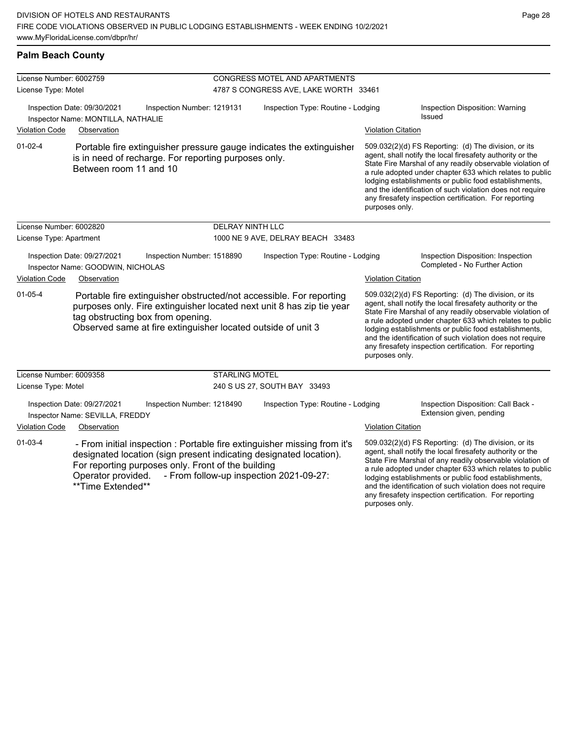any firesafety inspection certification. For reporting

| <b>Palm Beach County</b>                                                                                                                                                                                                                                           |                                                                   |                                                      |                                                                                                                     |                                                                      |                                                                                                                                                                                                                                                                                                                                                                                                                                              |                                                                 |  |
|--------------------------------------------------------------------------------------------------------------------------------------------------------------------------------------------------------------------------------------------------------------------|-------------------------------------------------------------------|------------------------------------------------------|---------------------------------------------------------------------------------------------------------------------|----------------------------------------------------------------------|----------------------------------------------------------------------------------------------------------------------------------------------------------------------------------------------------------------------------------------------------------------------------------------------------------------------------------------------------------------------------------------------------------------------------------------------|-----------------------------------------------------------------|--|
| License Number: 6002759                                                                                                                                                                                                                                            |                                                                   |                                                      |                                                                                                                     | <b>CONGRESS MOTEL AND APARTMENTS</b>                                 |                                                                                                                                                                                                                                                                                                                                                                                                                                              |                                                                 |  |
| License Type: Motel                                                                                                                                                                                                                                                |                                                                   |                                                      |                                                                                                                     | 4787 S CONGRESS AVE, LAKE WORTH 33461                                |                                                                                                                                                                                                                                                                                                                                                                                                                                              |                                                                 |  |
|                                                                                                                                                                                                                                                                    | Inspection Date: 09/30/2021<br>Inspector Name: MONTILLA, NATHALIE | Inspection Number: 1219131                           |                                                                                                                     | Inspection Type: Routine - Lodging                                   |                                                                                                                                                                                                                                                                                                                                                                                                                                              | Inspection Disposition: Warning<br>Issued                       |  |
| Violation Code                                                                                                                                                                                                                                                     | Observation                                                       |                                                      |                                                                                                                     |                                                                      | <b>Violation Citation</b>                                                                                                                                                                                                                                                                                                                                                                                                                    |                                                                 |  |
| $01 - 02 - 4$                                                                                                                                                                                                                                                      | Between room 11 and 10                                            | is in need of recharge. For reporting purposes only. |                                                                                                                     | Portable fire extinguisher pressure gauge indicates the extinguisher | 509.032(2)(d) FS Reporting: (d) The division, or its<br>agent, shall notify the local firesafety authority or the<br>State Fire Marshal of any readily observable violation of<br>a rule adopted under chapter 633 which relates to public<br>lodging establishments or public food establishments,<br>and the identification of such violation does not require<br>any firesafety inspection certification. For reporting<br>purposes only. |                                                                 |  |
| License Number: 6002820                                                                                                                                                                                                                                            |                                                                   |                                                      | <b>DELRAY NINTH LLC</b>                                                                                             |                                                                      |                                                                                                                                                                                                                                                                                                                                                                                                                                              |                                                                 |  |
| License Type: Apartment                                                                                                                                                                                                                                            |                                                                   |                                                      |                                                                                                                     | 1000 NE 9 AVE, DELRAY BEACH 33483                                    |                                                                                                                                                                                                                                                                                                                                                                                                                                              |                                                                 |  |
| Inspection Date: 09/27/2021<br>Inspection Number: 1518890<br>Inspector Name: GOODWIN, NICHOLAS                                                                                                                                                                     |                                                                   |                                                      | Inspection Type: Routine - Lodging                                                                                  |                                                                      | Inspection Disposition: Inspection<br>Completed - No Further Action                                                                                                                                                                                                                                                                                                                                                                          |                                                                 |  |
| <b>Violation Code</b>                                                                                                                                                                                                                                              | Observation                                                       |                                                      |                                                                                                                     |                                                                      | <b>Violation Citation</b>                                                                                                                                                                                                                                                                                                                                                                                                                    |                                                                 |  |
| $01 - 05 - 4$<br>Portable fire extinguisher obstructed/not accessible. For reporting<br>purposes only. Fire extinguisher located next unit 8 has zip tie year<br>tag obstructing box from opening.<br>Observed same at fire extinguisher located outside of unit 3 |                                                                   |                                                      |                                                                                                                     | purposes only.                                                       | 509.032(2)(d) FS Reporting: (d) The division, or its<br>agent, shall notify the local firesafety authority or the<br>State Fire Marshal of any readily observable violation of<br>a rule adopted under chapter 633 which relates to public<br>lodging establishments or public food establishments,<br>and the identification of such violation does not require<br>any firesafety inspection certification. For reporting                   |                                                                 |  |
| License Number: 6009358                                                                                                                                                                                                                                            |                                                                   |                                                      | <b>STARLING MOTEL</b>                                                                                               |                                                                      |                                                                                                                                                                                                                                                                                                                                                                                                                                              |                                                                 |  |
| License Type: Motel                                                                                                                                                                                                                                                |                                                                   |                                                      |                                                                                                                     | 240 S US 27, SOUTH BAY 33493                                         |                                                                                                                                                                                                                                                                                                                                                                                                                                              |                                                                 |  |
|                                                                                                                                                                                                                                                                    | Inspection Date: 09/27/2021<br>Inspector Name: SEVILLA, FREDDY    | Inspection Number: 1218490                           |                                                                                                                     | Inspection Type: Routine - Lodging                                   |                                                                                                                                                                                                                                                                                                                                                                                                                                              | Inspection Disposition: Call Back -<br>Extension given, pending |  |
| <b>Violation Code</b>                                                                                                                                                                                                                                              | Observation                                                       |                                                      |                                                                                                                     |                                                                      | <b>Violation Citation</b>                                                                                                                                                                                                                                                                                                                                                                                                                    |                                                                 |  |
| $01 - 03 - 4$<br>designated location (sign present indicating designated location).<br>For reporting purposes only. Front of the building<br>Operator provided.<br>**Time Extended**                                                                               |                                                                   |                                                      | - From initial inspection : Portable fire extinguisher missing from it's<br>- From follow-up inspection 2021-09-27: |                                                                      | 509.032(2)(d) FS Reporting: (d) The division, or its<br>agent, shall notify the local firesafety authority or the<br>State Fire Marshal of any readily observable violation of<br>a rule adopted under chapter 633 which relates to public<br>lodging establishments or public food establishments,<br>and the identification of such violation does not require                                                                             |                                                                 |  |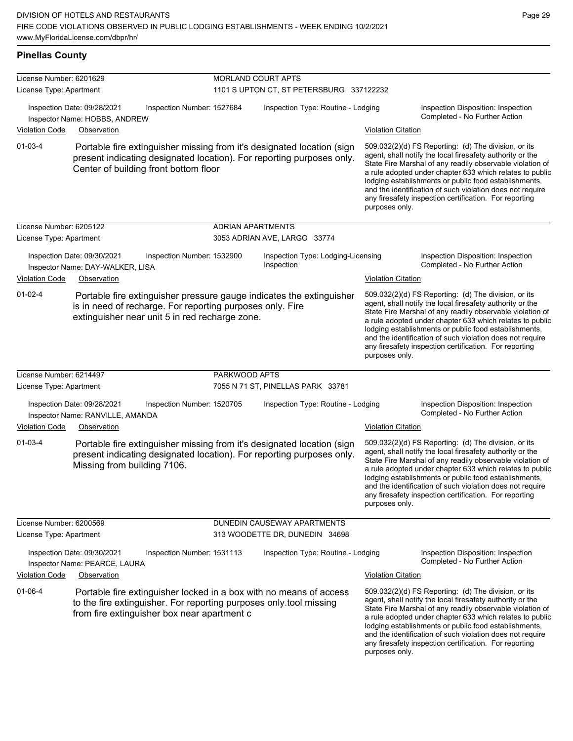**Pinellas County**

| License Number: 6201629 |                                                                                                                                                                                          | MORLAND COURT APTS       |                                                  |                           |                                                                                                                                                                                                                                                                                                                                                                                                                            |
|-------------------------|------------------------------------------------------------------------------------------------------------------------------------------------------------------------------------------|--------------------------|--------------------------------------------------|---------------------------|----------------------------------------------------------------------------------------------------------------------------------------------------------------------------------------------------------------------------------------------------------------------------------------------------------------------------------------------------------------------------------------------------------------------------|
| License Type: Apartment |                                                                                                                                                                                          |                          | 1101 S UPTON CT, ST PETERSBURG 337122232         |                           |                                                                                                                                                                                                                                                                                                                                                                                                                            |
|                         | Inspection Date: 09/28/2021<br>Inspection Number: 1527684<br>Inspector Name: HOBBS, ANDREW                                                                                               |                          | Inspection Type: Routine - Lodging               |                           | Inspection Disposition: Inspection<br>Completed - No Further Action                                                                                                                                                                                                                                                                                                                                                        |
| <b>Violation Code</b>   | Observation                                                                                                                                                                              |                          |                                                  | <b>Violation Citation</b> |                                                                                                                                                                                                                                                                                                                                                                                                                            |
| 01-03-4                 | Portable fire extinguisher missing from it's designated location (sign<br>present indicating designated location). For reporting purposes only.<br>Center of building front bottom floor |                          |                                                  | purposes only.            | 509.032(2)(d) FS Reporting (d) The division, or its<br>agent, shall notify the local firesafety authority or the<br>State Fire Marshal of any readily observable violation of<br>a rule adopted under chapter 633 which relates to public<br>lodging establishments or public food establishments,<br>and the identification of such violation does not require<br>any firesafety inspection certification. For reporting  |
| License Number: 6205122 |                                                                                                                                                                                          | <b>ADRIAN APARTMENTS</b> |                                                  |                           |                                                                                                                                                                                                                                                                                                                                                                                                                            |
| License Type: Apartment |                                                                                                                                                                                          |                          | 3053 ADRIAN AVE, LARGO 33774                     |                           |                                                                                                                                                                                                                                                                                                                                                                                                                            |
|                         | Inspection Date: 09/30/2021<br>Inspection Number: 1532900<br>Inspector Name: DAY-WALKER, LISA                                                                                            |                          | Inspection Type: Lodging-Licensing<br>Inspection |                           | Inspection Disposition: Inspection<br>Completed - No Further Action                                                                                                                                                                                                                                                                                                                                                        |
| <b>Violation Code</b>   | Observation                                                                                                                                                                              |                          |                                                  | <b>Violation Citation</b> |                                                                                                                                                                                                                                                                                                                                                                                                                            |
| $01 - 02 - 4$           | Portable fire extinguisher pressure gauge indicates the extinguisher<br>is in need of recharge. For reporting purposes only. Fire<br>extinguisher near unit 5 in red recharge zone.      |                          |                                                  | purposes only.            | 509.032(2)(d) FS Reporting (d) The division, or its<br>agent, shall notify the local firesafety authority or the<br>State Fire Marshal of any readily observable violation of<br>a rule adopted under chapter 633 which relates to public<br>lodging establishments or public food establishments,<br>and the identification of such violation does not require<br>any firesafety inspection certification. For reporting  |
| License Number: 6214497 |                                                                                                                                                                                          | PARKWOOD APTS            |                                                  |                           |                                                                                                                                                                                                                                                                                                                                                                                                                            |
| License Type: Apartment |                                                                                                                                                                                          |                          | 7055 N 71 ST, PINELLAS PARK 33781                |                           |                                                                                                                                                                                                                                                                                                                                                                                                                            |
|                         | Inspection Date: 09/28/2021<br>Inspection Number: 1520705<br>Inspector Name: RANVILLE, AMANDA                                                                                            |                          | Inspection Type: Routine - Lodging               |                           | Inspection Disposition: Inspection<br>Completed - No Further Action                                                                                                                                                                                                                                                                                                                                                        |
| <b>Violation Code</b>   | Observation                                                                                                                                                                              |                          |                                                  | <b>Violation Citation</b> |                                                                                                                                                                                                                                                                                                                                                                                                                            |
| $01 - 03 - 4$           | Portable fire extinguisher missing from it's designated location (sign<br>present indicating designated location). For reporting purposes only.<br>Missing from building 7106.           |                          |                                                  | purposes only.            | 509.032(2)(d) FS Reporting: (d) The division, or its<br>agent, shall notify the local firesafety authority or the<br>State Fire Marshal of any readily observable violation of<br>a rule adopted under chapter 633 which relates to public<br>lodging establishments or public food establishments,<br>and the identification of such violation does not require<br>any firesafety inspection certification. For reporting |
| License Number: 6200569 |                                                                                                                                                                                          |                          | DUNEDIN CAUSEWAY APARTMENTS                      |                           |                                                                                                                                                                                                                                                                                                                                                                                                                            |
| License Type: Apartment |                                                                                                                                                                                          |                          | 313 WOODETTE DR, DUNEDIN 34698                   |                           |                                                                                                                                                                                                                                                                                                                                                                                                                            |
|                         | Inspection Date: 09/30/2021<br>Inspection Number: 1531113<br>Inspector Name: PEARCE, LAURA                                                                                               |                          | Inspection Type: Routine - Lodging               |                           | Inspection Disposition: Inspection<br>Completed - No Further Action                                                                                                                                                                                                                                                                                                                                                        |
| <b>Violation Code</b>   | Observation                                                                                                                                                                              |                          |                                                  | <b>Violation Citation</b> |                                                                                                                                                                                                                                                                                                                                                                                                                            |
| $01 - 06 - 4$           | Portable fire extinguisher locked in a box with no means of access<br>to the fire extinguisher. For reporting purposes only tool missing<br>from fire extinguisher box near apartment c  |                          |                                                  |                           | 509.032(2)(d) FS Reporting (d) The division, or its<br>agent, shall notify the local firesafety authority or the<br>State Fire Marshal of any readily observable violation of<br>a rule adopted under chapter 633 which relates to public<br>lodging establishments or public food establishments,<br>and the identification of such violation does not require                                                            |

Page 29

any firesafety inspection certification. For reporting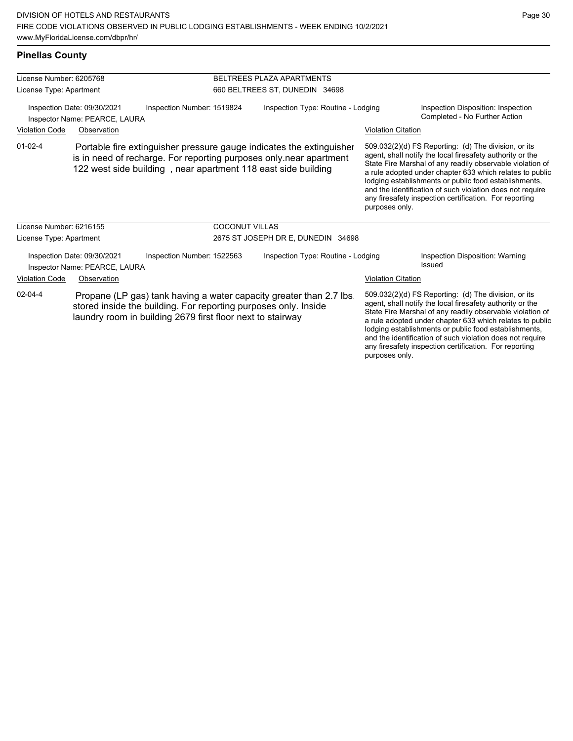and the identification of such violation does not require any firesafety inspection certification. For reporting

| <b>Pinellas County</b>               |                                                                                                                                                                                                             |                       |                                    |                           |                                                                                                                                                                                                                                                                                                                                                                                                                            |
|--------------------------------------|-------------------------------------------------------------------------------------------------------------------------------------------------------------------------------------------------------------|-----------------------|------------------------------------|---------------------------|----------------------------------------------------------------------------------------------------------------------------------------------------------------------------------------------------------------------------------------------------------------------------------------------------------------------------------------------------------------------------------------------------------------------------|
| License Number: 6205768              |                                                                                                                                                                                                             |                       | BELTREES PLAZA APARTMENTS          |                           |                                                                                                                                                                                                                                                                                                                                                                                                                            |
| License Type: Apartment              |                                                                                                                                                                                                             |                       | 660 BELTREES ST, DUNEDIN 34698     |                           |                                                                                                                                                                                                                                                                                                                                                                                                                            |
|                                      | Inspection Date: 09/30/2021<br>Inspection Number: 1519824<br>Inspector Name: PEARCE, LAURA                                                                                                                  |                       | Inspection Type: Routine - Lodging |                           | Inspection Disposition: Inspection<br>Completed - No Further Action                                                                                                                                                                                                                                                                                                                                                        |
| <b>Violation Code</b>                | Observation                                                                                                                                                                                                 |                       |                                    | <b>Violation Citation</b> |                                                                                                                                                                                                                                                                                                                                                                                                                            |
| $01 - 02 - 4$                        | Portable fire extinguisher pressure gauge indicates the extinguisher<br>is in need of recharge. For reporting purposes only.near apartment<br>122 west side building, near apartment 118 east side building |                       |                                    | purposes only.            | 509.032(2)(d) FS Reporting: (d) The division, or its<br>agent, shall notify the local firesafety authority or the<br>State Fire Marshal of any readily observable violation of<br>a rule adopted under chapter 633 which relates to public<br>lodging establishments or public food establishments,<br>and the identification of such violation does not require<br>any firesafety inspection certification. For reporting |
| License Number: 6216155              |                                                                                                                                                                                                             | <b>COCONUT VILLAS</b> |                                    |                           |                                                                                                                                                                                                                                                                                                                                                                                                                            |
| License Type: Apartment              |                                                                                                                                                                                                             |                       | 2675 ST JOSEPH DR E, DUNEDIN 34698 |                           |                                                                                                                                                                                                                                                                                                                                                                                                                            |
|                                      | Inspection Date: 09/30/2021<br>Inspection Number: 1522563<br>Inspector Name: PEARCE, LAURA                                                                                                                  |                       | Inspection Type: Routine - Lodging |                           | Inspection Disposition: Warning<br>Issued                                                                                                                                                                                                                                                                                                                                                                                  |
| <b>Violation Code</b><br>Observation |                                                                                                                                                                                                             |                       |                                    | <b>Violation Citation</b> |                                                                                                                                                                                                                                                                                                                                                                                                                            |
| $02 - 04 - 4$                        | Propane (LP gas) tank having a water capacity greater than 2.7 lbs.<br>stored inside the building. For reporting purposes only. Inside<br>laundry room in building 2679 first floor next to stairway        |                       |                                    |                           | 509.032(2)(d) FS Reporting: (d) The division, or its<br>agent, shall notify the local firesafety authority or the<br>State Fire Marshal of any readily observable violation of<br>a rule adopted under chapter 633 which relates to public<br>lodging establishments or public food establishments,                                                                                                                        |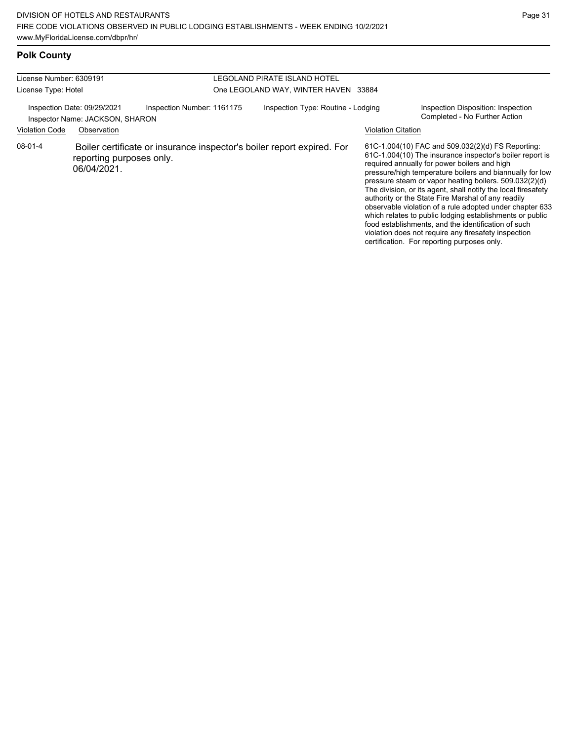# **Polk County**

| License Number: 6309191<br>License Type: Hotel |                                                                               | LEGOLAND PIRATE ISLAND HOTEL<br>One LEGOLAND WAY, WINTER HAVEN 33884 |  |                                                                        |                    |                                                                                                                                                                                                                                                                                                                                                                                                                                                                                                                                                                                                                                                                                                  |
|------------------------------------------------|-------------------------------------------------------------------------------|----------------------------------------------------------------------|--|------------------------------------------------------------------------|--------------------|--------------------------------------------------------------------------------------------------------------------------------------------------------------------------------------------------------------------------------------------------------------------------------------------------------------------------------------------------------------------------------------------------------------------------------------------------------------------------------------------------------------------------------------------------------------------------------------------------------------------------------------------------------------------------------------------------|
| <b>Violation Code</b>                          | Inspection Date: 09/29/2021<br>Inspector Name: JACKSON, SHARON<br>Observation | Inspection Number: 1161175                                           |  | Inspection Type: Routine - Lodging                                     | Violation Citation | Inspection Disposition: Inspection<br>Completed - No Further Action                                                                                                                                                                                                                                                                                                                                                                                                                                                                                                                                                                                                                              |
| 08-01-4                                        | reporting purposes only.<br>06/04/2021.                                       |                                                                      |  | Boiler certificate or insurance inspector's boiler report expired. For |                    | 61C-1.004(10) FAC and 509.032(2)(d) FS Reporting:<br>61C-1.004(10) The insurance inspector's boiler report is<br>required annually for power boilers and high<br>pressure/high temperature boilers and biannually for low<br>pressure steam or vapor heating boilers. 509.032(2)(d)<br>The division, or its agent, shall notify the local firesafety<br>authority or the State Fire Marshal of any readily<br>observable violation of a rule adopted under chapter 633<br>which relates to public lodging establishments or public<br>food establishments, and the identification of such<br>violation does not require any firesafety inspection<br>certification. For reporting purposes only. |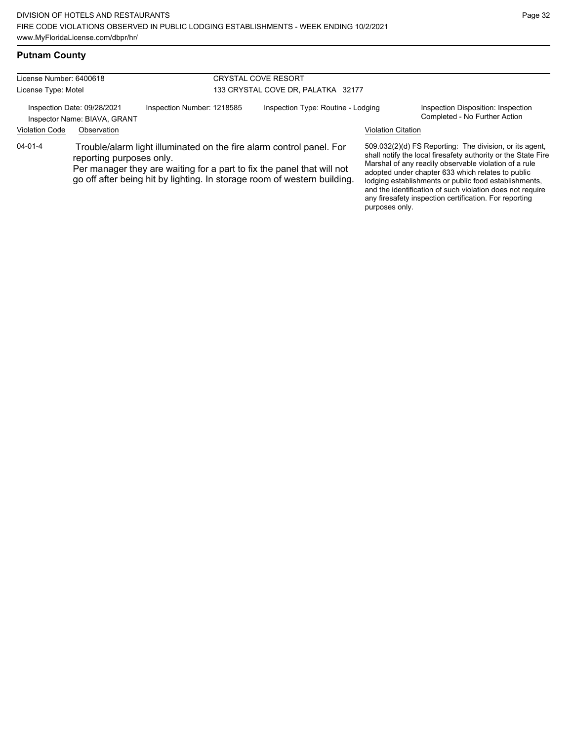| License Number: 6400618 |                                                             |                            | <b>CRYSTAL COVE RESORT</b>         |                                                                                                                                                                                                                            |                           |                                                                                                                                                                                                                                                                                                                                                              |
|-------------------------|-------------------------------------------------------------|----------------------------|------------------------------------|----------------------------------------------------------------------------------------------------------------------------------------------------------------------------------------------------------------------------|---------------------------|--------------------------------------------------------------------------------------------------------------------------------------------------------------------------------------------------------------------------------------------------------------------------------------------------------------------------------------------------------------|
| License Type: Motel     |                                                             |                            | 133 CRYSTAL COVE DR, PALATKA 32177 |                                                                                                                                                                                                                            |                           |                                                                                                                                                                                                                                                                                                                                                              |
|                         | Inspection Date: 09/28/2021<br>Inspector Name: BIAVA, GRANT | Inspection Number: 1218585 |                                    | Inspection Type: Routine - Lodging                                                                                                                                                                                         |                           | Inspection Disposition: Inspection<br>Completed - No Further Action                                                                                                                                                                                                                                                                                          |
| <b>Violation Code</b>   | Observation                                                 |                            |                                    |                                                                                                                                                                                                                            | <b>Violation Citation</b> |                                                                                                                                                                                                                                                                                                                                                              |
| $04 - 01 - 4$           | reporting purposes only.                                    |                            |                                    | Trouble/alarm light illuminated on the fire alarm control panel. For<br>Per manager they are waiting for a part to fix the panel that will not<br>go off after being hit by lighting. In storage room of western building. |                           | 509.032(2)(d) FS Reporting: The division, or its agent,<br>shall notify the local firesafety authority or the State Fire<br>Marshal of any readily observable violation of a rule<br>adopted under chapter 633 which relates to public<br>lodging establishments or public food establishments,<br>and the identification of such violation does not require |

any firesafety inspection certification. For reporting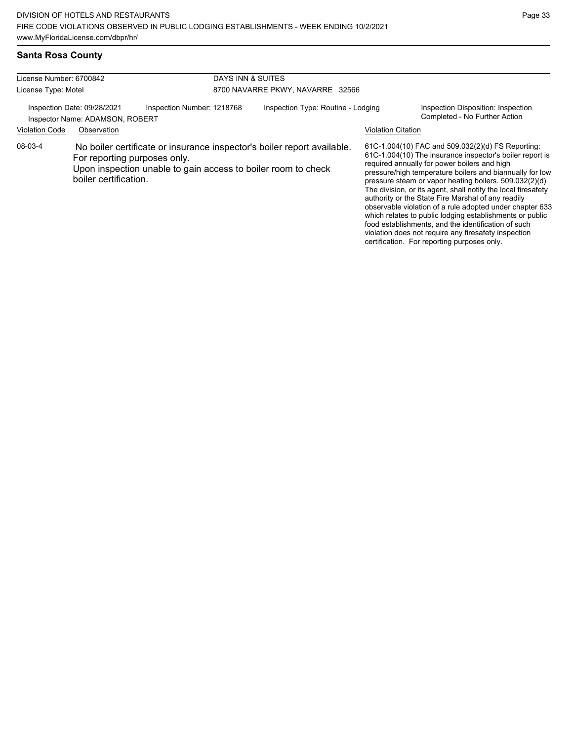violation does not require any firesafety inspection certification. For reporting purposes only.

# **Santa Rosa County**

| License Number: 6700842                                        |                                                       | DAYS INN & SUITES                                                                                                                        |                                    |                           |                                                                                                                                                                                                                                                                                                                                                                                                                                                                                                                                                                                           |
|----------------------------------------------------------------|-------------------------------------------------------|------------------------------------------------------------------------------------------------------------------------------------------|------------------------------------|---------------------------|-------------------------------------------------------------------------------------------------------------------------------------------------------------------------------------------------------------------------------------------------------------------------------------------------------------------------------------------------------------------------------------------------------------------------------------------------------------------------------------------------------------------------------------------------------------------------------------------|
| License Type: Motel                                            |                                                       |                                                                                                                                          | 8700 NAVARRE PKWY, NAVARRE 32566   |                           |                                                                                                                                                                                                                                                                                                                                                                                                                                                                                                                                                                                           |
| Inspection Date: 09/28/2021<br>Inspector Name: ADAMSON, ROBERT |                                                       | Inspection Number: 1218768                                                                                                               | Inspection Type: Routine - Lodging |                           | Inspection Disposition: Inspection<br>Completed - No Further Action                                                                                                                                                                                                                                                                                                                                                                                                                                                                                                                       |
| <b>Violation Code</b>                                          | Observation                                           |                                                                                                                                          |                                    | <b>Violation Citation</b> |                                                                                                                                                                                                                                                                                                                                                                                                                                                                                                                                                                                           |
| 08-03-4                                                        | For reporting purposes only.<br>boiler certification. | No boiler certificate or insurance inspector's boiler report available.<br>Upon inspection unable to gain access to boiler room to check |                                    |                           | 61C-1.004(10) FAC and 509.032(2)(d) FS Reporting:<br>61C-1.004(10) The insurance inspector's boiler report is<br>required annually for power boilers and high<br>pressure/high temperature boilers and biannually for low<br>pressure steam or vapor heating boilers. 509.032(2)(d)<br>The division, or its agent, shall notify the local firesafety<br>authority or the State Fire Marshal of any readily<br>observable violation of a rule adopted under chapter 633<br>which relates to public lodging establishments or public<br>food establishments, and the identification of such |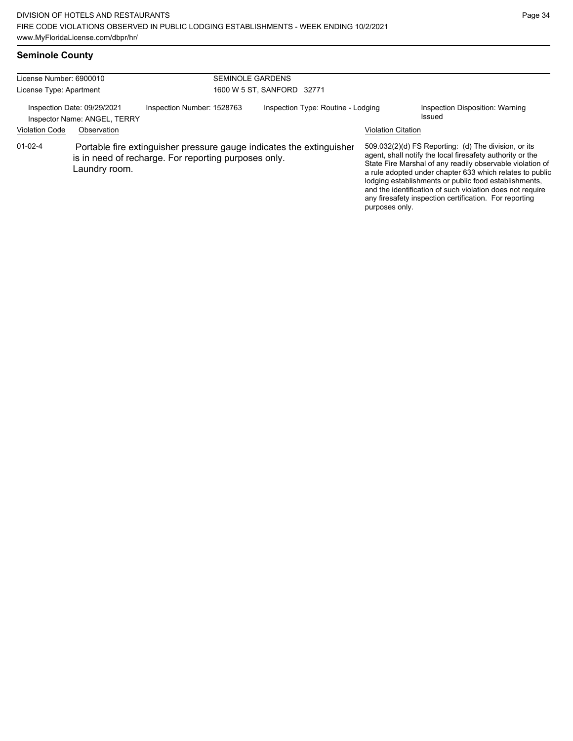# **Seminole County**

| License Number: 6900010<br>License Type: Apartment |                                                                            |                                                      | <b>SEMINOLE GARDENS</b><br>1600 W 5 ST, SANFORD 32771                |                           |                                                                                                                                                                                                                                                                                                                                                                                                                            |
|----------------------------------------------------|----------------------------------------------------------------------------|------------------------------------------------------|----------------------------------------------------------------------|---------------------------|----------------------------------------------------------------------------------------------------------------------------------------------------------------------------------------------------------------------------------------------------------------------------------------------------------------------------------------------------------------------------------------------------------------------------|
| <b>Violation Code</b>                              | Inspection Date: 09/29/2021<br>Inspector Name: ANGEL, TERRY<br>Observation | Inspection Number: 1528763                           | Inspection Type: Routine - Lodging                                   | <b>Violation Citation</b> | Inspection Disposition: Warning<br>Issued                                                                                                                                                                                                                                                                                                                                                                                  |
| $01 - 02 - 4$                                      | Laundry room.                                                              | is in need of recharge. For reporting purposes only. | Portable fire extinguisher pressure gauge indicates the extinguisher | purposes only.            | 509.032(2)(d) FS Reporting: (d) The division, or its<br>agent, shall notify the local firesafety authority or the<br>State Fire Marshal of any readily observable violation of<br>a rule adopted under chapter 633 which relates to public<br>lodging establishments or public food establishments,<br>and the identification of such violation does not require<br>any firesafety inspection certification. For reporting |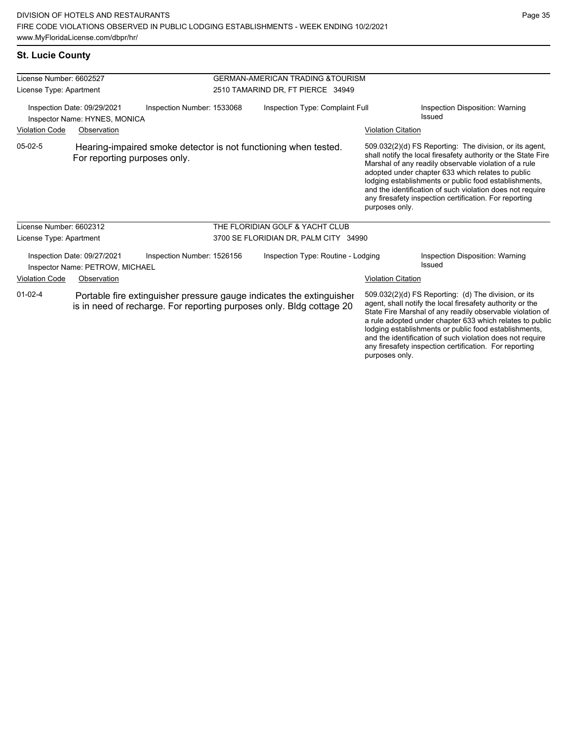any firesafety inspection certification. For reporting

| <b>St. Lucie County</b> |  |
|-------------------------|--|
|-------------------------|--|

| License Number: 6602527                                      |                                                                |                                                                                                                                               | <b>GERMAN-AMERICAN TRADING &amp; TOURISM</b> |                           |                                                                                                                                                                                                                                                                                                                                                                                                                        |
|--------------------------------------------------------------|----------------------------------------------------------------|-----------------------------------------------------------------------------------------------------------------------------------------------|----------------------------------------------|---------------------------|------------------------------------------------------------------------------------------------------------------------------------------------------------------------------------------------------------------------------------------------------------------------------------------------------------------------------------------------------------------------------------------------------------------------|
| License Type: Apartment                                      |                                                                |                                                                                                                                               | 2510 TAMARIND DR, FT PIERCE 34949            |                           |                                                                                                                                                                                                                                                                                                                                                                                                                        |
| Inspection Date: 09/29/2021<br>Inspector Name: HYNES, MONICA |                                                                | Inspection Number: 1533068                                                                                                                    | Inspection Type: Complaint Full              |                           | Inspection Disposition: Warning<br>Issued                                                                                                                                                                                                                                                                                                                                                                              |
| <b>Violation Code</b>                                        | Observation                                                    |                                                                                                                                               |                                              | <b>Violation Citation</b> |                                                                                                                                                                                                                                                                                                                                                                                                                        |
| $05-02-5$                                                    | For reporting purposes only.                                   | Hearing-impaired smoke detector is not functioning when tested.                                                                               |                                              | purposes only.            | 509.032(2)(d) FS Reporting: The division, or its agent,<br>shall notify the local firesafety authority or the State Fire<br>Marshal of any readily observable violation of a rule<br>adopted under chapter 633 which relates to public<br>lodging establishments or public food establishments,<br>and the identification of such violation does not require<br>any firesafety inspection certification. For reporting |
| License Number: 6602312                                      |                                                                |                                                                                                                                               | THE FLORIDIAN GOLF & YACHT CLUB              |                           |                                                                                                                                                                                                                                                                                                                                                                                                                        |
| License Type: Apartment                                      |                                                                |                                                                                                                                               | 3700 SE FLORIDIAN DR, PALM CITY 34990        |                           |                                                                                                                                                                                                                                                                                                                                                                                                                        |
|                                                              | Inspection Date: 09/27/2021<br>Inspector Name: PETROW, MICHAEL | Inspection Number: 1526156                                                                                                                    | Inspection Type: Routine - Lodging           |                           | Inspection Disposition: Warning<br>Issued                                                                                                                                                                                                                                                                                                                                                                              |
| <b>Violation Code</b>                                        | Observation                                                    |                                                                                                                                               |                                              | <b>Violation Citation</b> |                                                                                                                                                                                                                                                                                                                                                                                                                        |
| $01 - 02 - 4$                                                |                                                                | Portable fire extinguisher pressure gauge indicates the extinguisher<br>is in need of recharge. For reporting purposes only. Bldg cottage 20. |                                              |                           | 509.032(2)(d) FS Reporting: (d) The division, or its<br>agent, shall notify the local firesafety authority or the<br>State Fire Marshal of any readily observable violation of<br>a rule adopted under chapter 633 which relates to public<br>lodging establishments or public food establishments,<br>and the identification of such violation does not require                                                       |